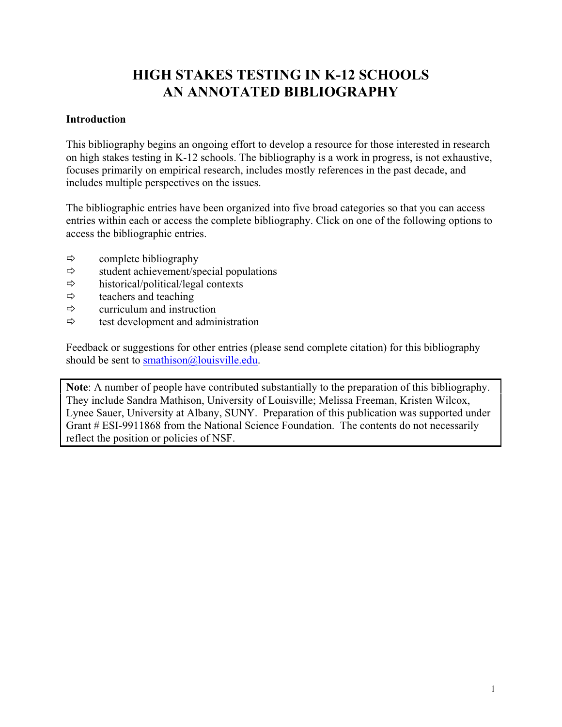# **HIGH STAKES TESTING IN K-12 SCHOOLS AN ANNOTATED BIBLIOGRAPHY**

#### **Introduction**

This bibliography begins an ongoing effort to develop a resource for those interested in research on high stakes testing in K-12 schools. The bibliography is a work in progress, is not exhaustive, focuses primarily on empirical research, includes mostly references in the past decade, and includes multiple perspectives on the issues.

The bibliographic entries have been organized into five broad categories so that you can access entries within each or access the complete bibliography. Click on one of the following options to access the bibliographic entries.

- $\Leftrightarrow$  complete bibliography
- $\Rightarrow$  student achievement/special populations
- $\Rightarrow$  historical/political/legal contexts
- $\Leftrightarrow$  teachers and teaching
- $\Leftrightarrow$  curriculum and instruction
- $\Rightarrow$  test development and administration

Feedback or suggestions for other entries (please send complete citation) for this bibliography should be sent to smathison@louisville.edu.

**Note**: A number of people have contributed substantially to the preparation of this bibliography. They include Sandra Mathison, University of Louisville; Melissa Freeman, Kristen Wilcox, Lynee Sauer, University at Albany, SUNY. Preparation of this publication was supported under Grant # ESI-9911868 from the National Science Foundation. The contents do not necessarily reflect the position or policies of NSF.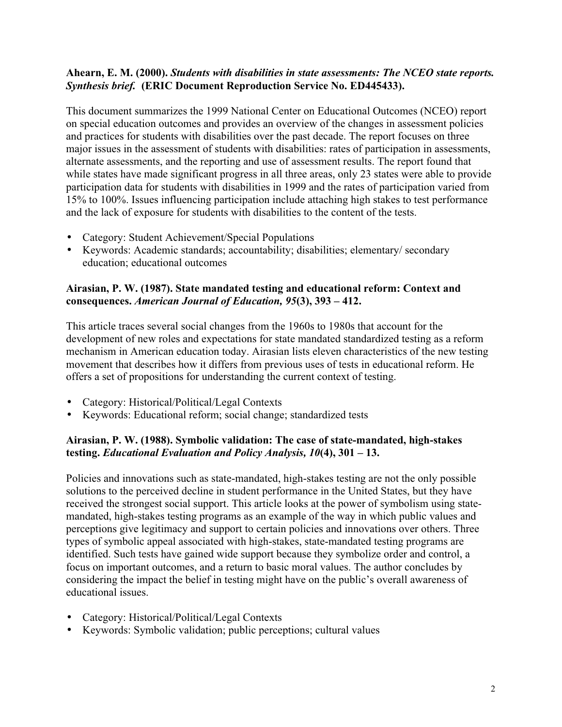## **Ahearn, E. M. (2000).** *Students with disabilities in state assessments: The NCEO state reports. Synthesis brief.* **(ERIC Document Reproduction Service No. ED445433).**

This document summarizes the 1999 National Center on Educational Outcomes (NCEO) report on special education outcomes and provides an overview of the changes in assessment policies and practices for students with disabilities over the past decade. The report focuses on three major issues in the assessment of students with disabilities: rates of participation in assessments, alternate assessments, and the reporting and use of assessment results. The report found that while states have made significant progress in all three areas, only 23 states were able to provide participation data for students with disabilities in 1999 and the rates of participation varied from 15% to 100%. Issues influencing participation include attaching high stakes to test performance and the lack of exposure for students with disabilities to the content of the tests.

- Category: Student Achievement/Special Populations
- Keywords: Academic standards; accountability; disabilities; elementary/ secondary education; educational outcomes

#### **Airasian, P. W. (1987). State mandated testing and educational reform: Context and consequences.** *American Journal of Education, 95***(3), 393 – 412.**

This article traces several social changes from the 1960s to 1980s that account for the development of new roles and expectations for state mandated standardized testing as a reform mechanism in American education today. Airasian lists eleven characteristics of the new testing movement that describes how it differs from previous uses of tests in educational reform. He offers a set of propositions for understanding the current context of testing.

- Category: Historical/Political/Legal Contexts
- Keywords: Educational reform; social change; standardized tests

## **Airasian, P. W. (1988). Symbolic validation: The case of state-mandated, high-stakes testing.** *Educational Evaluation and Policy Analysis, 10***(4), 301 – 13.**

Policies and innovations such as state-mandated, high-stakes testing are not the only possible solutions to the perceived decline in student performance in the United States, but they have received the strongest social support. This article looks at the power of symbolism using statemandated, high-stakes testing programs as an example of the way in which public values and perceptions give legitimacy and support to certain policies and innovations over others. Three types of symbolic appeal associated with high-stakes, state-mandated testing programs are identified. Such tests have gained wide support because they symbolize order and control, a focus on important outcomes, and a return to basic moral values. The author concludes by considering the impact the belief in testing might have on the public's overall awareness of educational issues.

- Category: Historical/Political/Legal Contexts
- Keywords: Symbolic validation; public perceptions; cultural values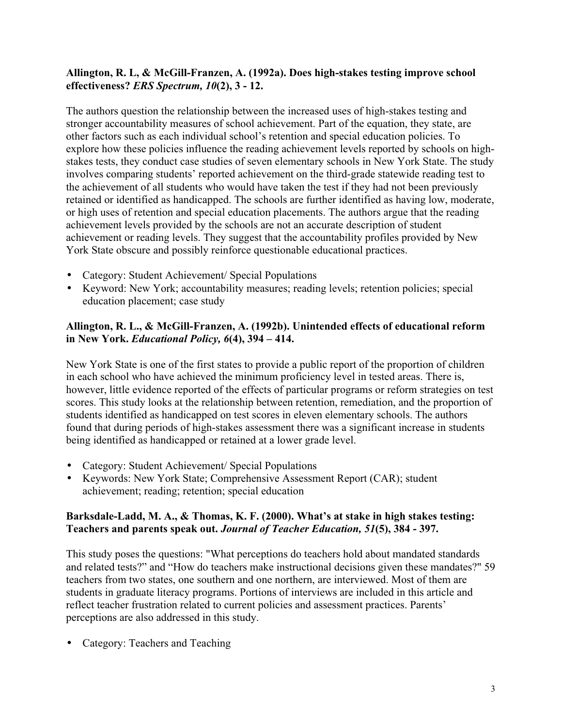## **Allington, R. L, & McGill-Franzen, A. (1992a). Does high-stakes testing improve school effectiveness?** *ERS Spectrum, 10***(2), 3 - 12.**

The authors question the relationship between the increased uses of high-stakes testing and stronger accountability measures of school achievement. Part of the equation, they state, are other factors such as each individual school's retention and special education policies. To explore how these policies influence the reading achievement levels reported by schools on highstakes tests, they conduct case studies of seven elementary schools in New York State. The study involves comparing students' reported achievement on the third-grade statewide reading test to the achievement of all students who would have taken the test if they had not been previously retained or identified as handicapped. The schools are further identified as having low, moderate, or high uses of retention and special education placements. The authors argue that the reading achievement levels provided by the schools are not an accurate description of student achievement or reading levels. They suggest that the accountability profiles provided by New York State obscure and possibly reinforce questionable educational practices.

- Category: Student Achievement/ Special Populations
- Keyword: New York; accountability measures; reading levels; retention policies; special education placement; case study

## **Allington, R. L., & McGill-Franzen, A. (1992b). Unintended effects of educational reform in New York.** *Educational Policy, 6***(4), 394 – 414.**

New York State is one of the first states to provide a public report of the proportion of children in each school who have achieved the minimum proficiency level in tested areas. There is, however, little evidence reported of the effects of particular programs or reform strategies on test scores. This study looks at the relationship between retention, remediation, and the proportion of students identified as handicapped on test scores in eleven elementary schools. The authors found that during periods of high-stakes assessment there was a significant increase in students being identified as handicapped or retained at a lower grade level.

- Category: Student Achievement/ Special Populations
- Keywords: New York State; Comprehensive Assessment Report (CAR); student achievement; reading; retention; special education

#### **Barksdale-Ladd, M. A., & Thomas, K. F. (2000). What's at stake in high stakes testing: Teachers and parents speak out.** *Journal of Teacher Education, 51***(5), 384 - 397.**

This study poses the questions: "What perceptions do teachers hold about mandated standards and related tests?" and "How do teachers make instructional decisions given these mandates?" 59 teachers from two states, one southern and one northern, are interviewed. Most of them are students in graduate literacy programs. Portions of interviews are included in this article and reflect teacher frustration related to current policies and assessment practices. Parents' perceptions are also addressed in this study.

• Category: Teachers and Teaching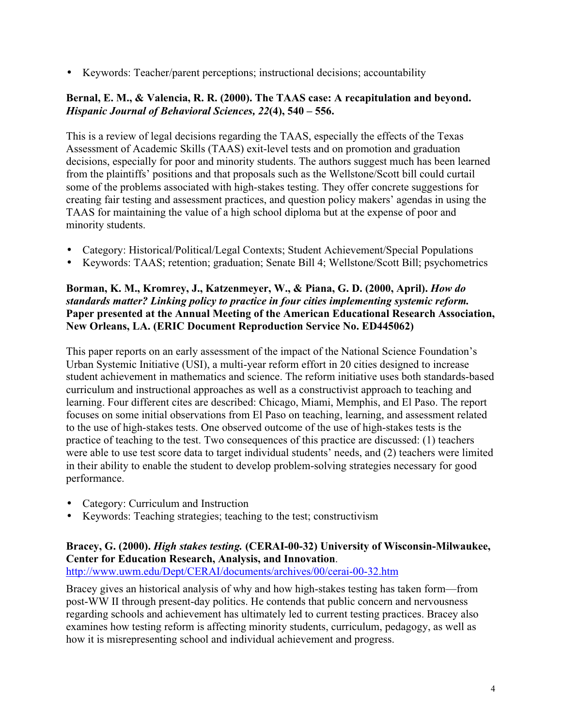• Keywords: Teacher/parent perceptions; instructional decisions; accountability

## **Bernal, E. M., & Valencia, R. R. (2000). The TAAS case: A recapitulation and beyond.** *Hispanic Journal of Behavioral Sciences, 22***(4), 540 – 556.**

This is a review of legal decisions regarding the TAAS, especially the effects of the Texas Assessment of Academic Skills (TAAS) exit-level tests and on promotion and graduation decisions, especially for poor and minority students. The authors suggest much has been learned from the plaintiffs' positions and that proposals such as the Wellstone/Scott bill could curtail some of the problems associated with high-stakes testing. They offer concrete suggestions for creating fair testing and assessment practices, and question policy makers' agendas in using the TAAS for maintaining the value of a high school diploma but at the expense of poor and minority students.

- Category: Historical/Political/Legal Contexts; Student Achievement/Special Populations
- Keywords: TAAS; retention; graduation; Senate Bill 4; Wellstone/Scott Bill; psychometrics

## **Borman, K. M., Kromrey, J., Katzenmeyer, W., & Piana, G. D. (2000, April).** *How do standards matter? Linking policy to practice in four cities implementing systemic reform.* **Paper presented at the Annual Meeting of the American Educational Research Association, New Orleans, LA. (ERIC Document Reproduction Service No. ED445062)**

This paper reports on an early assessment of the impact of the National Science Foundation's Urban Systemic Initiative (USI), a multi-year reform effort in 20 cities designed to increase student achievement in mathematics and science. The reform initiative uses both standards-based curriculum and instructional approaches as well as a constructivist approach to teaching and learning. Four different cites are described: Chicago, Miami, Memphis, and El Paso. The report focuses on some initial observations from El Paso on teaching, learning, and assessment related to the use of high-stakes tests. One observed outcome of the use of high-stakes tests is the practice of teaching to the test. Two consequences of this practice are discussed: (1) teachers were able to use test score data to target individual students' needs, and (2) teachers were limited in their ability to enable the student to develop problem-solving strategies necessary for good performance.

- Category: Curriculum and Instruction
- Keywords: Teaching strategies; teaching to the test; constructivism

## **Bracey, G. (2000).** *High stakes testing.* **(CERAI-00-32) University of Wisconsin-Milwaukee, Center for Education Research, Analysis, and Innovation**.

http://www.uwm.edu/Dept/CERAI/documents/archives/00/cerai-00-32.htm

Bracey gives an historical analysis of why and how high-stakes testing has taken form—from post-WW II through present-day politics. He contends that public concern and nervousness regarding schools and achievement has ultimately led to current testing practices. Bracey also examines how testing reform is affecting minority students, curriculum, pedagogy, as well as how it is misrepresenting school and individual achievement and progress.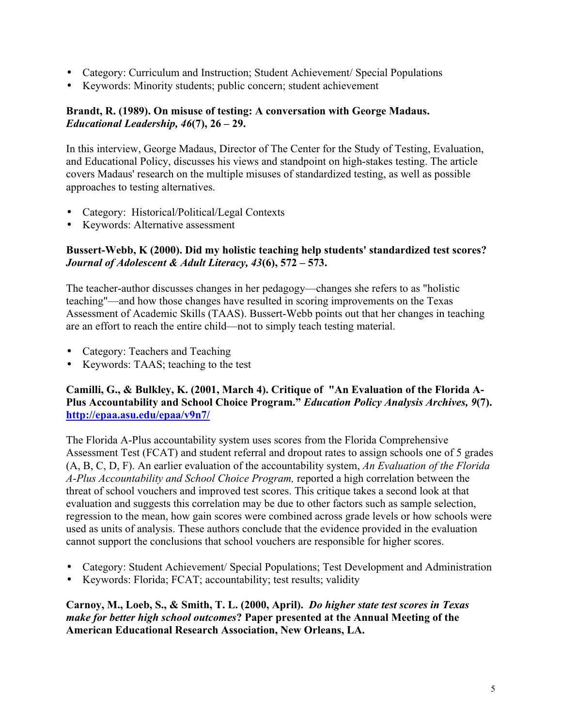- Category: Curriculum and Instruction; Student Achievement/ Special Populations
- Keywords: Minority students; public concern; student achievement

## **Brandt, R. (1989). On misuse of testing: A conversation with George Madaus.** *Educational Leadership, 46***(7), 26 – 29.**

In this interview, George Madaus, Director of The Center for the Study of Testing, Evaluation, and Educational Policy, discusses his views and standpoint on high-stakes testing. The article covers Madaus' research on the multiple misuses of standardized testing, as well as possible approaches to testing alternatives.

- Category: Historical/Political/Legal Contexts
- Keywords: Alternative assessment

## **Bussert-Webb, K (2000). Did my holistic teaching help students' standardized test scores?** *Journal of Adolescent & Adult Literacy, 43***(6), 572 – 573.**

The teacher-author discusses changes in her pedagogy—changes she refers to as "holistic teaching"—and how those changes have resulted in scoring improvements on the Texas Assessment of Academic Skills (TAAS). Bussert-Webb points out that her changes in teaching are an effort to reach the entire child—not to simply teach testing material.

- Category: Teachers and Teaching
- Keywords: TAAS; teaching to the test

## **Camilli, G., & Bulkley, K. (2001, March 4). Critique of "An Evaluation of the Florida A-Plus Accountability and School Choice Program."** *Education Policy Analysis Archives, 9***(7). http://epaa.asu.edu/epaa/v9n7/**

The Florida A-Plus accountability system uses scores from the Florida Comprehensive Assessment Test (FCAT) and student referral and dropout rates to assign schools one of 5 grades (A, B, C, D, F). An earlier evaluation of the accountability system, *An Evaluation of the Florida A-Plus Accountability and School Choice Program,* reported a high correlation between the threat of school vouchers and improved test scores. This critique takes a second look at that evaluation and suggests this correlation may be due to other factors such as sample selection, regression to the mean, how gain scores were combined across grade levels or how schools were used as units of analysis. These authors conclude that the evidence provided in the evaluation cannot support the conclusions that school vouchers are responsible for higher scores.

- Category: Student Achievement/ Special Populations; Test Development and Administration
- Keywords: Florida; FCAT; accountability; test results; validity

**Carnoy, M., Loeb, S., & Smith, T. L. (2000, April).** *Do higher state test scores in Texas make for better high school outcomes***? Paper presented at the Annual Meeting of the American Educational Research Association, New Orleans, LA.**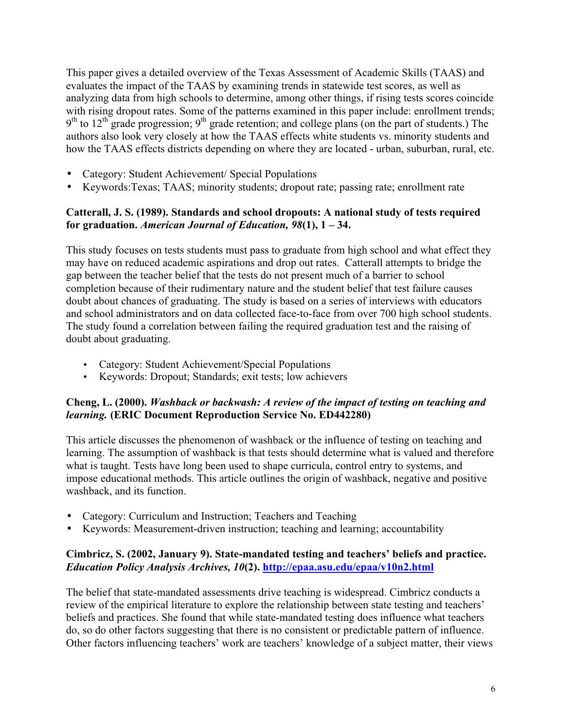This paper gives a detailed overview of the Texas Assessment of Academic Skills (TAAS) and evaluates the impact of the TAAS by examining trends in statewide test scores, as well as analyzing data from high schools to determine, among other things, if rising tests scores coincide with rising dropout rates. Some of the patterns examined in this paper include: enrollment trends;  $9<sup>th</sup>$  to 12<sup>th</sup> grade progression;  $9<sup>th</sup>$  grade retention; and college plans (on the part of students.) The authors also look very closely at how the TAAS effects white students vs. minority students and how the TAAS effects districts depending on where they are located - urban, suburban, rural, etc.

- Category: Student Achievement/ Special Populations
- Keywords:Texas; TAAS; minority students; dropout rate; passing rate; enrollment rate

## **Catterall, J. S. (1989). Standards and school dropouts: A national study of tests required for graduation.** *American Journal of Education, 98***(1), 1 – 34.**

This study focuses on tests students must pass to graduate from high school and what effect they may have on reduced academic aspirations and drop out rates. Catterall attempts to bridge the gap between the teacher belief that the tests do not present much of a barrier to school completion because of their rudimentary nature and the student belief that test failure causes doubt about chances of graduating. The study is based on a series of interviews with educators and school administrators and on data collected face-to-face from over 700 high school students. The study found a correlation between failing the required graduation test and the raising of doubt about graduating.

- Category: Student Achievement/Special Populations
- Keywords: Dropout; Standards; exit tests; low achievers

## **Cheng, L. (2000).** *Washback or backwash: A review of the impact of testing on teaching and learning.* **(ERIC Document Reproduction Service No. ED442280)**

This article discusses the phenomenon of washback or the influence of testing on teaching and learning. The assumption of washback is that tests should determine what is valued and therefore what is taught. Tests have long been used to shape curricula, control entry to systems, and impose educational methods. This article outlines the origin of washback, negative and positive washback, and its function.

- Category: Curriculum and Instruction; Teachers and Teaching
- Keywords: Measurement-driven instruction; teaching and learning; accountability

## **Cimbricz, S. (2002, January 9). State-mandated testing and teachers' beliefs and practice.** *Education Policy Analysis Archives, 10***(2). http://epaa.asu.edu/epaa/v10n2.html**

The belief that state-mandated assessments drive teaching is widespread. Cimbricz conducts a review of the empirical literature to explore the relationship between state testing and teachers' beliefs and practices. She found that while state-mandated testing does influence what teachers do, so do other factors suggesting that there is no consistent or predictable pattern of influence. Other factors influencing teachers' work are teachers' knowledge of a subject matter, their views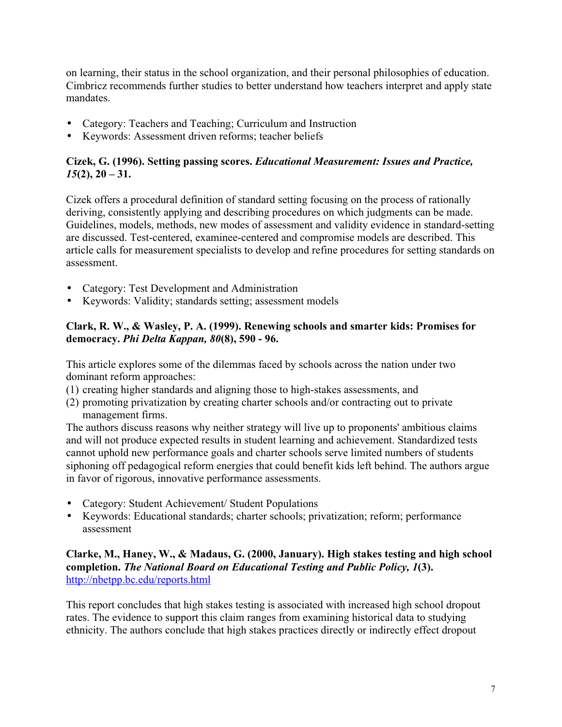on learning, their status in the school organization, and their personal philosophies of education. Cimbricz recommends further studies to better understand how teachers interpret and apply state mandates.

- Category: Teachers and Teaching; Curriculum and Instruction
- Keywords: Assessment driven reforms; teacher beliefs

## **Cizek, G. (1996). Setting passing scores.** *Educational Measurement: Issues and Practice, 15***(2), 20 – 31.**

Cizek offers a procedural definition of standard setting focusing on the process of rationally deriving, consistently applying and describing procedures on which judgments can be made. Guidelines, models, methods, new modes of assessment and validity evidence in standard-setting are discussed. Test-centered, examinee-centered and compromise models are described. This article calls for measurement specialists to develop and refine procedures for setting standards on assessment.

- Category: Test Development and Administration
- Keywords: Validity; standards setting; assessment models

## **Clark, R. W., & Wasley, P. A. (1999). Renewing schools and smarter kids: Promises for democracy.** *Phi Delta Kappan, 80***(8), 590 - 96.**

This article explores some of the dilemmas faced by schools across the nation under two dominant reform approaches:

- (1) creating higher standards and aligning those to high-stakes assessments, and
- (2) promoting privatization by creating charter schools and/or contracting out to private management firms.

The authors discuss reasons why neither strategy will live up to proponents' ambitious claims and will not produce expected results in student learning and achievement. Standardized tests cannot uphold new performance goals and charter schools serve limited numbers of students siphoning off pedagogical reform energies that could benefit kids left behind. The authors argue in favor of rigorous, innovative performance assessments.

- Category: Student Achievement/ Student Populations
- Keywords: Educational standards; charter schools; privatization; reform; performance assessment

## **Clarke, M., Haney, W., & Madaus, G. (2000, January). High stakes testing and high school completion.** *The National Board on Educational Testing and Public Policy, 1***(3).** http://nbetpp.bc.edu/reports.html

This report concludes that high stakes testing is associated with increased high school dropout rates. The evidence to support this claim ranges from examining historical data to studying ethnicity. The authors conclude that high stakes practices directly or indirectly effect dropout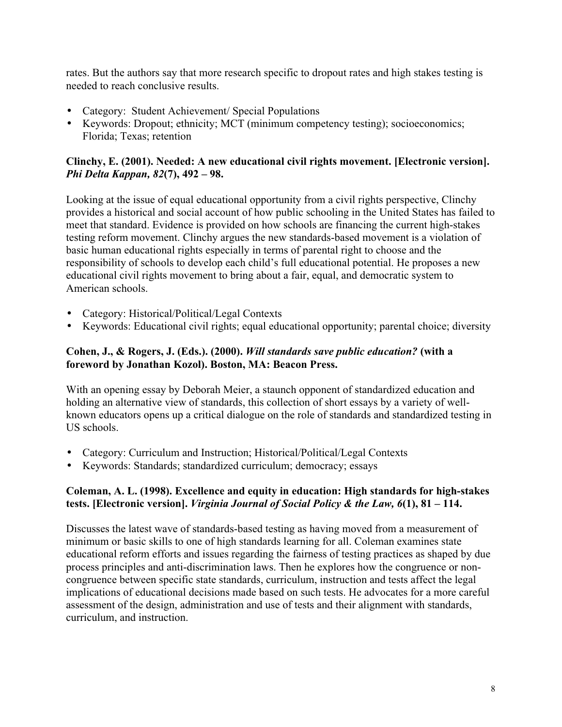rates. But the authors say that more research specific to dropout rates and high stakes testing is needed to reach conclusive results.

- Category: Student Achievement/ Special Populations
- Keywords: Dropout; ethnicity; MCT (minimum competency testing); socioeconomics; Florida; Texas; retention

#### **Clinchy, E. (2001). Needed: A new educational civil rights movement. [Electronic version].** *Phi Delta Kappan, 82***(7), 492 – 98.**

Looking at the issue of equal educational opportunity from a civil rights perspective, Clinchy provides a historical and social account of how public schooling in the United States has failed to meet that standard. Evidence is provided on how schools are financing the current high-stakes testing reform movement. Clinchy argues the new standards-based movement is a violation of basic human educational rights especially in terms of parental right to choose and the responsibility of schools to develop each child's full educational potential. He proposes a new educational civil rights movement to bring about a fair, equal, and democratic system to American schools.

- Category: Historical/Political/Legal Contexts
- Keywords: Educational civil rights; equal educational opportunity; parental choice; diversity

#### **Cohen, J., & Rogers, J. (Eds.). (2000).** *Will standards save public education?* **(with a foreword by Jonathan Kozol). Boston, MA: Beacon Press.**

With an opening essay by Deborah Meier, a staunch opponent of standardized education and holding an alternative view of standards, this collection of short essays by a variety of wellknown educators opens up a critical dialogue on the role of standards and standardized testing in US schools.

- Category: Curriculum and Instruction; Historical/Political/Legal Contexts
- Keywords: Standards; standardized curriculum; democracy; essays

## **Coleman, A. L. (1998). Excellence and equity in education: High standards for high-stakes tests. [Electronic version].** *Virginia Journal of Social Policy & the Law, 6***(1), 81 – 114.**

Discusses the latest wave of standards-based testing as having moved from a measurement of minimum or basic skills to one of high standards learning for all. Coleman examines state educational reform efforts and issues regarding the fairness of testing practices as shaped by due process principles and anti-discrimination laws. Then he explores how the congruence or noncongruence between specific state standards, curriculum, instruction and tests affect the legal implications of educational decisions made based on such tests. He advocates for a more careful assessment of the design, administration and use of tests and their alignment with standards, curriculum, and instruction.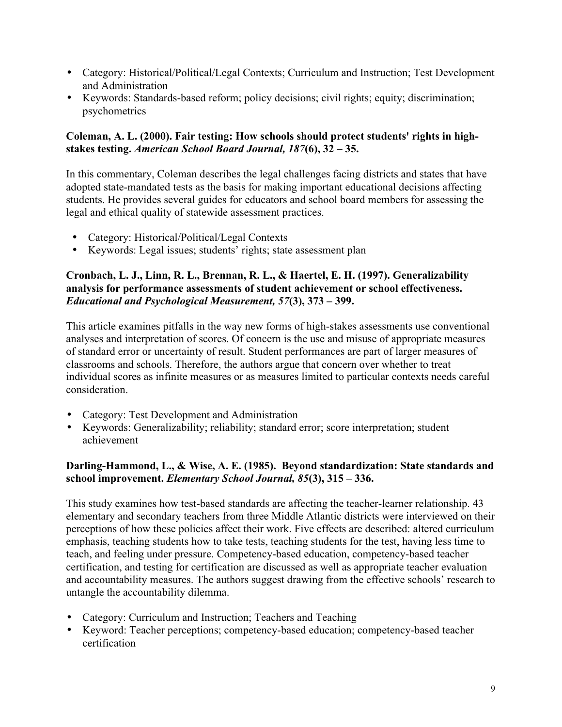- Category: Historical/Political/Legal Contexts; Curriculum and Instruction; Test Development and Administration
- Keywords: Standards-based reform; policy decisions; civil rights; equity; discrimination; psychometrics

## **Coleman, A. L. (2000). Fair testing: How schools should protect students' rights in highstakes testing.** *American School Board Journal, 187***(6), 32 – 35.**

In this commentary, Coleman describes the legal challenges facing districts and states that have adopted state-mandated tests as the basis for making important educational decisions affecting students. He provides several guides for educators and school board members for assessing the legal and ethical quality of statewide assessment practices.

- Category: Historical/Political/Legal Contexts
- Keywords: Legal issues; students' rights; state assessment plan

## **Cronbach, L. J., Linn, R. L., Brennan, R. L., & Haertel, E. H. (1997). Generalizability analysis for performance assessments of student achievement or school effectiveness.** *Educational and Psychological Measurement, 57***(3), 373 – 399.**

This article examines pitfalls in the way new forms of high-stakes assessments use conventional analyses and interpretation of scores. Of concern is the use and misuse of appropriate measures of standard error or uncertainty of result. Student performances are part of larger measures of classrooms and schools. Therefore, the authors argue that concern over whether to treat individual scores as infinite measures or as measures limited to particular contexts needs careful consideration.

- Category: Test Development and Administration
- Keywords: Generalizability; reliability; standard error; score interpretation; student achievement

## **Darling-Hammond, L., & Wise, A. E. (1985). Beyond standardization: State standards and school improvement.** *Elementary School Journal, 85***(3), 315 – 336.**

This study examines how test-based standards are affecting the teacher-learner relationship. 43 elementary and secondary teachers from three Middle Atlantic districts were interviewed on their perceptions of how these policies affect their work. Five effects are described: altered curriculum emphasis, teaching students how to take tests, teaching students for the test, having less time to teach, and feeling under pressure. Competency-based education, competency-based teacher certification, and testing for certification are discussed as well as appropriate teacher evaluation and accountability measures. The authors suggest drawing from the effective schools' research to untangle the accountability dilemma.

- Category: Curriculum and Instruction; Teachers and Teaching
- Keyword: Teacher perceptions; competency-based education; competency-based teacher certification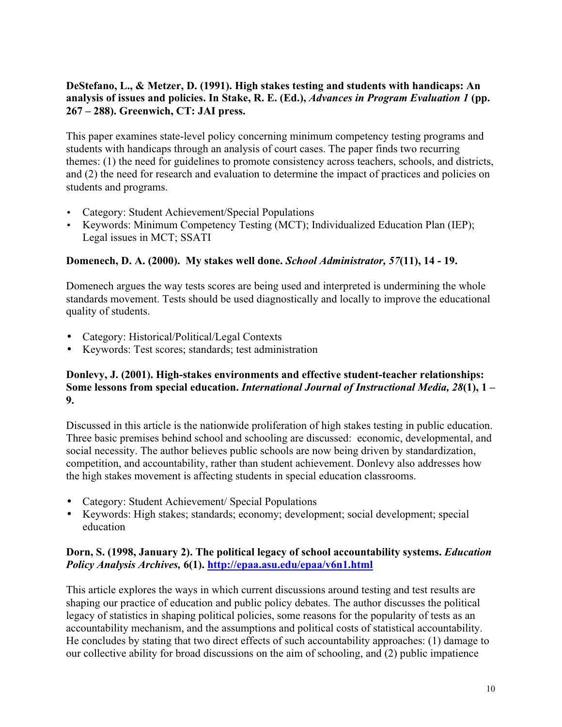## **DeStefano, L., & Metzer, D. (1991). High stakes testing and students with handicaps: An analysis of issues and policies. In Stake, R. E. (Ed.),** *Advances in Program Evaluation 1* **(pp. 267 – 288). Greenwich, CT: JAI press.**

This paper examines state-level policy concerning minimum competency testing programs and students with handicaps through an analysis of court cases. The paper finds two recurring themes: (1) the need for guidelines to promote consistency across teachers, schools, and districts, and (2) the need for research and evaluation to determine the impact of practices and policies on students and programs.

- Category: Student Achievement/Special Populations
- Keywords: Minimum Competency Testing (MCT); Individualized Education Plan (IEP); Legal issues in MCT; SSATI

## **Domenech, D. A. (2000). My stakes well done.** *School Administrator, 57***(11), 14 - 19.**

Domenech argues the way tests scores are being used and interpreted is undermining the whole standards movement. Tests should be used diagnostically and locally to improve the educational quality of students.

- Category: Historical/Political/Legal Contexts
- Keywords: Test scores; standards; test administration

#### **Donlevy, J. (2001). High-stakes environments and effective student-teacher relationships: Some lessons from special education.** *International Journal of Instructional Media, 28***(1), 1 – 9.**

Discussed in this article is the nationwide proliferation of high stakes testing in public education. Three basic premises behind school and schooling are discussed: economic, developmental, and social necessity. The author believes public schools are now being driven by standardization, competition, and accountability, rather than student achievement. Donlevy also addresses how the high stakes movement is affecting students in special education classrooms.

- Category: Student Achievement/ Special Populations
- Keywords: High stakes; standards; economy; development; social development; special education

## **Dorn, S. (1998, January 2). The political legacy of school accountability systems.** *Education Policy Analysis Archives,* **6(1). http://epaa.asu.edu/epaa/v6n1.html**

This article explores the ways in which current discussions around testing and test results are shaping our practice of education and public policy debates. The author discusses the political legacy of statistics in shaping political policies, some reasons for the popularity of tests as an accountability mechanism, and the assumptions and political costs of statistical accountability. He concludes by stating that two direct effects of such accountability approaches: (1) damage to our collective ability for broad discussions on the aim of schooling, and (2) public impatience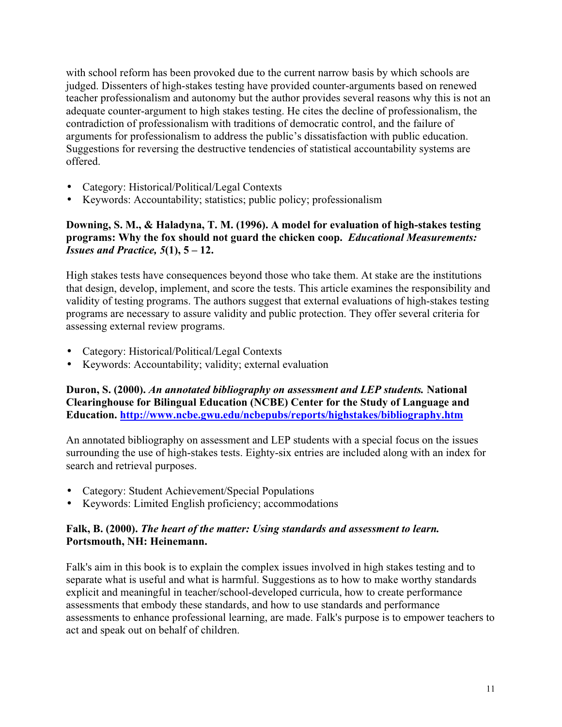with school reform has been provoked due to the current narrow basis by which schools are judged. Dissenters of high-stakes testing have provided counter-arguments based on renewed teacher professionalism and autonomy but the author provides several reasons why this is not an adequate counter-argument to high stakes testing. He cites the decline of professionalism, the contradiction of professionalism with traditions of democratic control, and the failure of arguments for professionalism to address the public's dissatisfaction with public education. Suggestions for reversing the destructive tendencies of statistical accountability systems are offered.

- Category: Historical/Political/Legal Contexts
- Keywords: Accountability; statistics; public policy; professionalism

## **Downing, S. M., & Haladyna, T. M. (1996). A model for evaluation of high-stakes testing programs: Why the fox should not guard the chicken coop.** *Educational Measurements: Issues and Practice, 5***(1), 5 – 12.**

High stakes tests have consequences beyond those who take them. At stake are the institutions that design, develop, implement, and score the tests. This article examines the responsibility and validity of testing programs. The authors suggest that external evaluations of high-stakes testing programs are necessary to assure validity and public protection. They offer several criteria for assessing external review programs.

- Category: Historical/Political/Legal Contexts
- Keywords: Accountability; validity; external evaluation

**Duron, S. (2000).** *An annotated bibliography on assessment and LEP students.* **National Clearinghouse for Bilingual Education (NCBE) Center for the Study of Language and Education. http://www.ncbe.gwu.edu/ncbepubs/reports/highstakes/bibliography.htm**

An annotated bibliography on assessment and LEP students with a special focus on the issues surrounding the use of high-stakes tests. Eighty-six entries are included along with an index for search and retrieval purposes.

- Category: Student Achievement/Special Populations
- Keywords: Limited English proficiency; accommodations

## **Falk, B. (2000).** *The heart of the matter: Using standards and assessment to learn.* **Portsmouth, NH: Heinemann.**

Falk's aim in this book is to explain the complex issues involved in high stakes testing and to separate what is useful and what is harmful. Suggestions as to how to make worthy standards explicit and meaningful in teacher/school-developed curricula, how to create performance assessments that embody these standards, and how to use standards and performance assessments to enhance professional learning, are made. Falk's purpose is to empower teachers to act and speak out on behalf of children.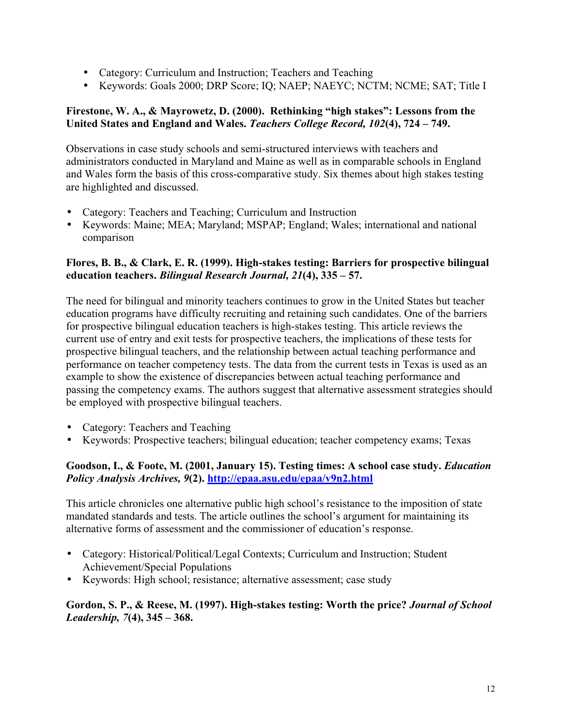- Category: Curriculum and Instruction; Teachers and Teaching
- Keywords: Goals 2000; DRP Score; IQ; NAEP; NAEYC; NCTM; NCME; SAT; Title I

#### **Firestone, W. A., & Mayrowetz, D. (2000). Rethinking "high stakes": Lessons from the United States and England and Wales.** *Teachers College Record, 102***(4), 724 – 749.**

Observations in case study schools and semi-structured interviews with teachers and administrators conducted in Maryland and Maine as well as in comparable schools in England and Wales form the basis of this cross-comparative study. Six themes about high stakes testing are highlighted and discussed.

- Category: Teachers and Teaching; Curriculum and Instruction
- Keywords: Maine; MEA; Maryland; MSPAP; England; Wales; international and national comparison

#### **Flores, B. B., & Clark, E. R. (1999). High-stakes testing: Barriers for prospective bilingual education teachers.** *Bilingual Research Journal, 21***(4), 335 – 57.**

The need for bilingual and minority teachers continues to grow in the United States but teacher education programs have difficulty recruiting and retaining such candidates. One of the barriers for prospective bilingual education teachers is high-stakes testing. This article reviews the current use of entry and exit tests for prospective teachers, the implications of these tests for prospective bilingual teachers, and the relationship between actual teaching performance and performance on teacher competency tests. The data from the current tests in Texas is used as an example to show the existence of discrepancies between actual teaching performance and passing the competency exams. The authors suggest that alternative assessment strategies should be employed with prospective bilingual teachers.

- Category: Teachers and Teaching
- Keywords: Prospective teachers; bilingual education; teacher competency exams; Texas

#### **Goodson, I., & Foote, M. (2001, January 15). Testing times: A school case study.** *Education Policy Analysis Archives, 9***(2). http://epaa.asu.edu/epaa/v9n2.html**

This article chronicles one alternative public high school's resistance to the imposition of state mandated standards and tests. The article outlines the school's argument for maintaining its alternative forms of assessment and the commissioner of education's response.

- Category: Historical/Political/Legal Contexts; Curriculum and Instruction; Student Achievement/Special Populations
- Keywords: High school; resistance; alternative assessment; case study

#### **Gordon, S. P., & Reese, M. (1997). High-stakes testing: Worth the price?** *Journal of School Leadership, 7***(4), 345 – 368.**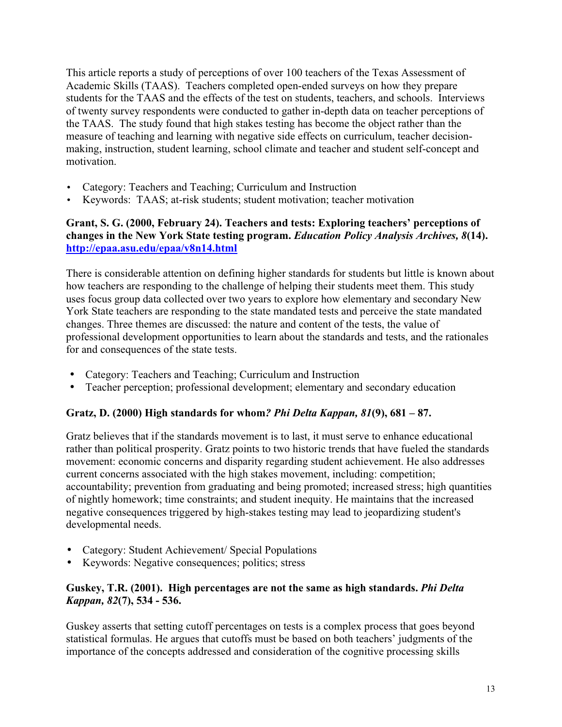This article reports a study of perceptions of over 100 teachers of the Texas Assessment of Academic Skills (TAAS). Teachers completed open-ended surveys on how they prepare students for the TAAS and the effects of the test on students, teachers, and schools. Interviews of twenty survey respondents were conducted to gather in-depth data on teacher perceptions of the TAAS. The study found that high stakes testing has become the object rather than the measure of teaching and learning with negative side effects on curriculum, teacher decisionmaking, instruction, student learning, school climate and teacher and student self-concept and motivation.

- Category: Teachers and Teaching; Curriculum and Instruction
- Keywords: TAAS; at-risk students; student motivation; teacher motivation

## **Grant, S. G. (2000, February 24). Teachers and tests: Exploring teachers' perceptions of changes in the New York State testing program.** *Education Policy Analysis Archives, 8***(14). http://epaa.asu.edu/epaa/v8n14.html**

There is considerable attention on defining higher standards for students but little is known about how teachers are responding to the challenge of helping their students meet them. This study uses focus group data collected over two years to explore how elementary and secondary New York State teachers are responding to the state mandated tests and perceive the state mandated changes. Three themes are discussed: the nature and content of the tests, the value of professional development opportunities to learn about the standards and tests, and the rationales for and consequences of the state tests.

- Category: Teachers and Teaching; Curriculum and Instruction
- Teacher perception; professional development; elementary and secondary education

## **Gratz, D. (2000) High standards for whom***? Phi Delta Kappan, 81***(9), 681 – 87.**

Gratz believes that if the standards movement is to last, it must serve to enhance educational rather than political prosperity. Gratz points to two historic trends that have fueled the standards movement: economic concerns and disparity regarding student achievement. He also addresses current concerns associated with the high stakes movement, including: competition; accountability; prevention from graduating and being promoted; increased stress; high quantities of nightly homework; time constraints; and student inequity. He maintains that the increased negative consequences triggered by high-stakes testing may lead to jeopardizing student's developmental needs.

- Category: Student Achievement/ Special Populations
- Keywords: Negative consequences; politics; stress

## **Guskey, T.R. (2001). High percentages are not the same as high standards.** *Phi Delta Kappan, 82***(7), 534 - 536.**

Guskey asserts that setting cutoff percentages on tests is a complex process that goes beyond statistical formulas. He argues that cutoffs must be based on both teachers' judgments of the importance of the concepts addressed and consideration of the cognitive processing skills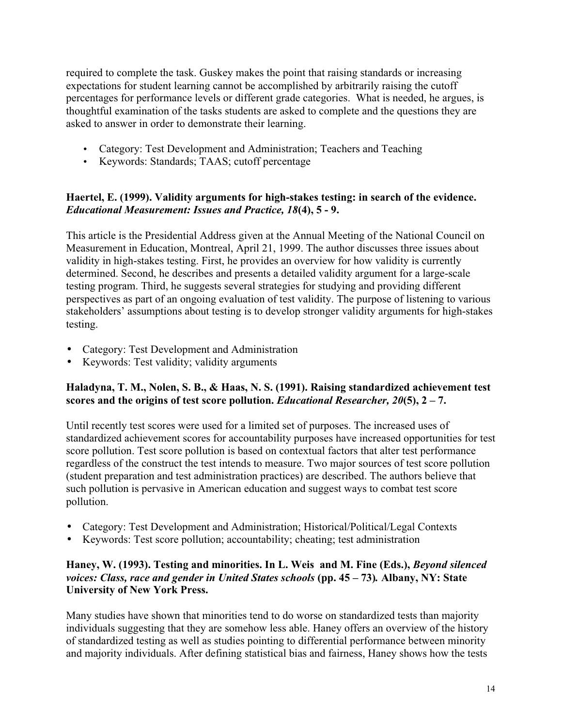required to complete the task. Guskey makes the point that raising standards or increasing expectations for student learning cannot be accomplished by arbitrarily raising the cutoff percentages for performance levels or different grade categories. What is needed, he argues, is thoughtful examination of the tasks students are asked to complete and the questions they are asked to answer in order to demonstrate their learning.

- Category: Test Development and Administration; Teachers and Teaching
- Keywords: Standards; TAAS; cutoff percentage

## **Haertel, E. (1999). Validity arguments for high-stakes testing: in search of the evidence.** *Educational Measurement: Issues and Practice, 18***(4), 5 - 9.**

This article is the Presidential Address given at the Annual Meeting of the National Council on Measurement in Education, Montreal, April 21, 1999. The author discusses three issues about validity in high-stakes testing. First, he provides an overview for how validity is currently determined. Second, he describes and presents a detailed validity argument for a large-scale testing program. Third, he suggests several strategies for studying and providing different perspectives as part of an ongoing evaluation of test validity. The purpose of listening to various stakeholders' assumptions about testing is to develop stronger validity arguments for high-stakes testing.

- Category: Test Development and Administration
- Keywords: Test validity; validity arguments

## **Haladyna, T. M., Nolen, S. B., & Haas, N. S. (1991). Raising standardized achievement test scores and the origins of test score pollution.** *Educational Researcher, 20***(5), 2 – 7.**

Until recently test scores were used for a limited set of purposes. The increased uses of standardized achievement scores for accountability purposes have increased opportunities for test score pollution. Test score pollution is based on contextual factors that alter test performance regardless of the construct the test intends to measure. Two major sources of test score pollution (student preparation and test administration practices) are described. The authors believe that such pollution is pervasive in American education and suggest ways to combat test score pollution.

- Category: Test Development and Administration; Historical/Political/Legal Contexts
- Keywords: Test score pollution; accountability; cheating; test administration

## **Haney, W. (1993). Testing and minorities. In L. Weis and M. Fine (Eds.),** *Beyond silenced voices: Class, race and gender in United States schools* **(pp. 45 – 73)***.* **Albany, NY: State University of New York Press.**

Many studies have shown that minorities tend to do worse on standardized tests than majority individuals suggesting that they are somehow less able. Haney offers an overview of the history of standardized testing as well as studies pointing to differential performance between minority and majority individuals. After defining statistical bias and fairness, Haney shows how the tests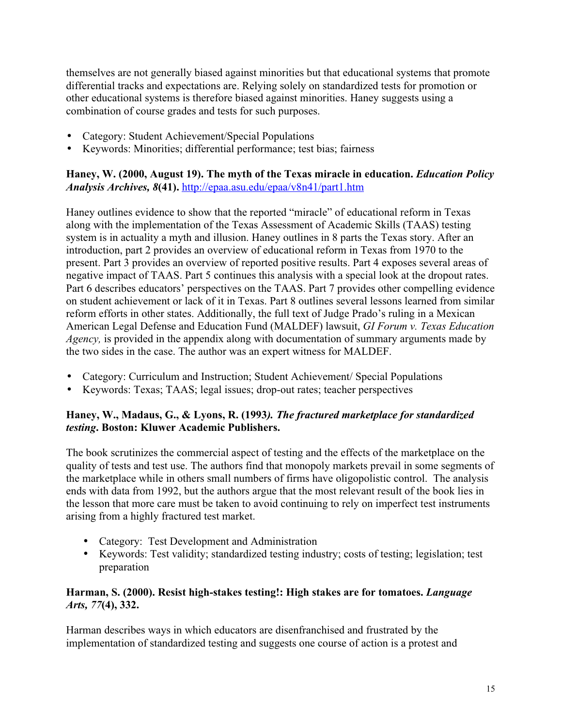themselves are not generally biased against minorities but that educational systems that promote differential tracks and expectations are. Relying solely on standardized tests for promotion or other educational systems is therefore biased against minorities. Haney suggests using a combination of course grades and tests for such purposes.

- Category: Student Achievement/Special Populations
- Keywords: Minorities; differential performance; test bias; fairness

## **Haney, W. (2000, August 19). The myth of the Texas miracle in education.** *Education Policy Analysis Archives, 8***(41).** http://epaa.asu.edu/epaa/v8n41/part1.htm

Haney outlines evidence to show that the reported "miracle" of educational reform in Texas along with the implementation of the Texas Assessment of Academic Skills (TAAS) testing system is in actuality a myth and illusion. Haney outlines in 8 parts the Texas story. After an introduction, part 2 provides an overview of educational reform in Texas from 1970 to the present. Part 3 provides an overview of reported positive results. Part 4 exposes several areas of negative impact of TAAS. Part 5 continues this analysis with a special look at the dropout rates. Part 6 describes educators' perspectives on the TAAS. Part 7 provides other compelling evidence on student achievement or lack of it in Texas. Part 8 outlines several lessons learned from similar reform efforts in other states. Additionally, the full text of Judge Prado's ruling in a Mexican American Legal Defense and Education Fund (MALDEF) lawsuit, *GI Forum v. Texas Education Agency,* is provided in the appendix along with documentation of summary arguments made by the two sides in the case. The author was an expert witness for MALDEF.

- Category: Curriculum and Instruction; Student Achievement/ Special Populations
- Keywords: Texas; TAAS; legal issues; drop-out rates; teacher perspectives

## **Haney, W., Madaus, G., & Lyons, R. (1993***). The fractured marketplace for standardized testing***. Boston: Kluwer Academic Publishers.**

The book scrutinizes the commercial aspect of testing and the effects of the marketplace on the quality of tests and test use. The authors find that monopoly markets prevail in some segments of the marketplace while in others small numbers of firms have oligopolistic control. The analysis ends with data from 1992, but the authors argue that the most relevant result of the book lies in the lesson that more care must be taken to avoid continuing to rely on imperfect test instruments arising from a highly fractured test market.

- Category: Test Development and Administration
- Keywords: Test validity; standardized testing industry; costs of testing; legislation; test preparation

## **Harman, S. (2000). Resist high-stakes testing!: High stakes are for tomatoes.** *Language Arts, 77***(4), 332.**

Harman describes ways in which educators are disenfranchised and frustrated by the implementation of standardized testing and suggests one course of action is a protest and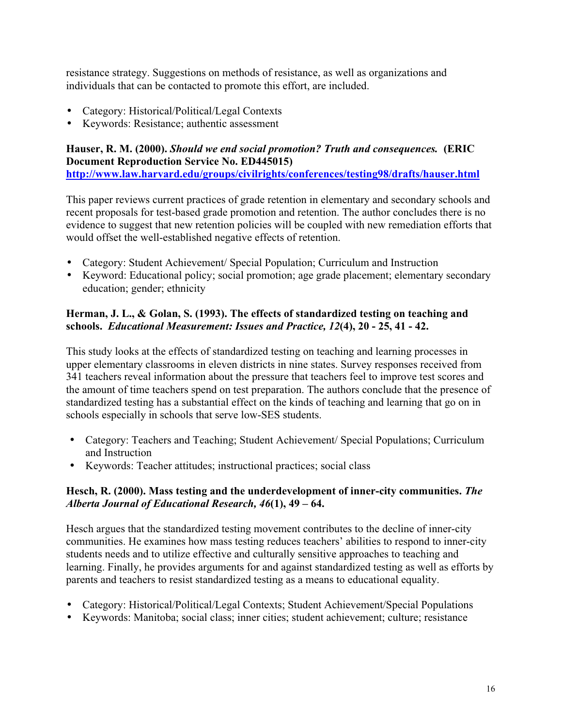resistance strategy. Suggestions on methods of resistance, as well as organizations and individuals that can be contacted to promote this effort, are included.

- Category: Historical/Political/Legal Contexts
- Keywords: Resistance; authentic assessment

## **Hauser, R. M. (2000).** *Should we end social promotion? Truth and consequences.* **(ERIC Document Reproduction Service No. ED445015) http://www.law.harvard.edu/groups/civilrights/conferences/testing98/drafts/hauser.html**

This paper reviews current practices of grade retention in elementary and secondary schools and recent proposals for test-based grade promotion and retention. The author concludes there is no evidence to suggest that new retention policies will be coupled with new remediation efforts that would offset the well-established negative effects of retention.

- Category: Student Achievement/ Special Population; Curriculum and Instruction
- Keyword: Educational policy; social promotion; age grade placement; elementary secondary education; gender; ethnicity

## **Herman, J. L., & Golan, S. (1993). The effects of standardized testing on teaching and schools.** *Educational Measurement: Issues and Practice, 12***(4), 20 - 25, 41 - 42.**

This study looks at the effects of standardized testing on teaching and learning processes in upper elementary classrooms in eleven districts in nine states. Survey responses received from 341 teachers reveal information about the pressure that teachers feel to improve test scores and the amount of time teachers spend on test preparation. The authors conclude that the presence of standardized testing has a substantial effect on the kinds of teaching and learning that go on in schools especially in schools that serve low-SES students.

- Category: Teachers and Teaching; Student Achievement/ Special Populations; Curriculum and Instruction
- Keywords: Teacher attitudes; instructional practices; social class

## **Hesch, R. (2000). Mass testing and the underdevelopment of inner-city communities.** *The Alberta Journal of Educational Research, 46***(1), 49 – 64.**

Hesch argues that the standardized testing movement contributes to the decline of inner-city communities. He examines how mass testing reduces teachers' abilities to respond to inner-city students needs and to utilize effective and culturally sensitive approaches to teaching and learning. Finally, he provides arguments for and against standardized testing as well as efforts by parents and teachers to resist standardized testing as a means to educational equality.

- Category: Historical/Political/Legal Contexts; Student Achievement/Special Populations
- Keywords: Manitoba; social class; inner cities; student achievement; culture; resistance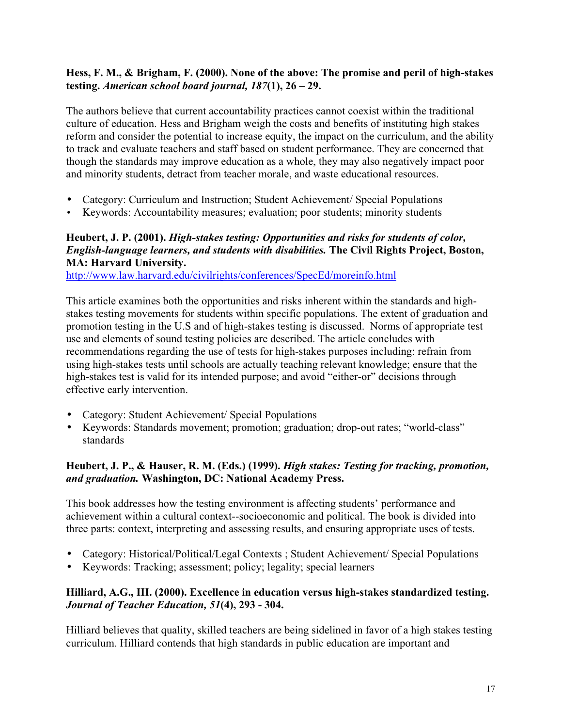## **Hess, F. M., & Brigham, F. (2000). None of the above: The promise and peril of high-stakes testing.** *American school board journal, 187***(1), 26 – 29.**

The authors believe that current accountability practices cannot coexist within the traditional culture of education. Hess and Brigham weigh the costs and benefits of instituting high stakes reform and consider the potential to increase equity, the impact on the curriculum, and the ability to track and evaluate teachers and staff based on student performance. They are concerned that though the standards may improve education as a whole, they may also negatively impact poor and minority students, detract from teacher morale, and waste educational resources.

- Category: Curriculum and Instruction; Student Achievement/ Special Populations
- Keywords: Accountability measures; evaluation; poor students; minority students

## **Heubert, J. P. (2001).** *High-stakes testing: Opportunities and risks for students of color, English-language learners, and students with disabilities.* **The Civil Rights Project, Boston, MA: Harvard University.**

http://www.law.harvard.edu/civilrights/conferences/SpecEd/moreinfo.html

This article examines both the opportunities and risks inherent within the standards and highstakes testing movements for students within specific populations. The extent of graduation and promotion testing in the U.S and of high-stakes testing is discussed. Norms of appropriate test use and elements of sound testing policies are described. The article concludes with recommendations regarding the use of tests for high-stakes purposes including: refrain from using high-stakes tests until schools are actually teaching relevant knowledge; ensure that the high-stakes test is valid for its intended purpose; and avoid "either-or" decisions through effective early intervention.

- Category: Student Achievement/ Special Populations
- Keywords: Standards movement; promotion; graduation; drop-out rates; "world-class" standards

## **Heubert, J. P., & Hauser, R. M. (Eds.) (1999).** *High stakes: Testing for tracking, promotion, and graduation.* **Washington, DC: National Academy Press.**

This book addresses how the testing environment is affecting students' performance and achievement within a cultural context--socioeconomic and political. The book is divided into three parts: context, interpreting and assessing results, and ensuring appropriate uses of tests.

- Category: Historical/Political/Legal Contexts ; Student Achievement/ Special Populations
- Keywords: Tracking; assessment; policy; legality; special learners

## **Hilliard, A.G., III. (2000). Excellence in education versus high-stakes standardized testing.** *Journal of Teacher Education, 51***(4), 293 - 304.**

Hilliard believes that quality, skilled teachers are being sidelined in favor of a high stakes testing curriculum. Hilliard contends that high standards in public education are important and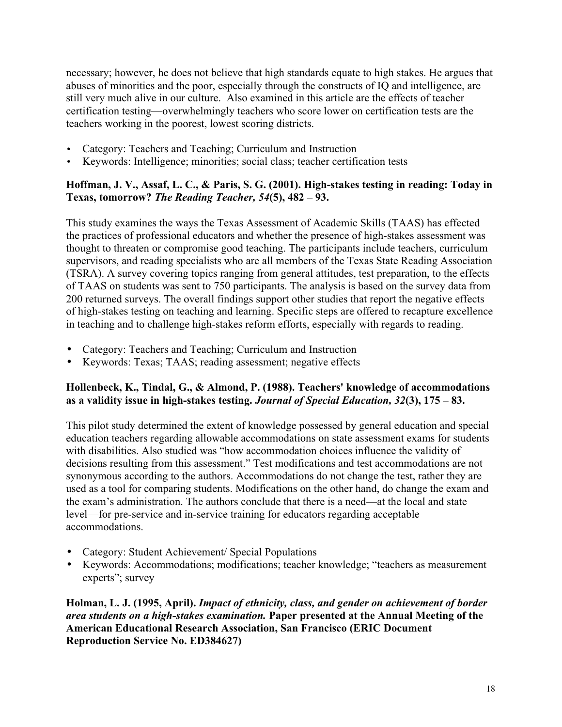necessary; however, he does not believe that high standards equate to high stakes. He argues that abuses of minorities and the poor, especially through the constructs of IQ and intelligence, are still very much alive in our culture. Also examined in this article are the effects of teacher certification testing—overwhelmingly teachers who score lower on certification tests are the teachers working in the poorest, lowest scoring districts.

- Category: Teachers and Teaching; Curriculum and Instruction
- Keywords: Intelligence; minorities; social class; teacher certification tests

## **Hoffman, J. V., Assaf, L. C., & Paris, S. G. (2001). High-stakes testing in reading: Today in Texas, tomorrow?** *The Reading Teacher, 54***(5), 482 – 93.**

This study examines the ways the Texas Assessment of Academic Skills (TAAS) has effected the practices of professional educators and whether the presence of high-stakes assessment was thought to threaten or compromise good teaching. The participants include teachers, curriculum supervisors, and reading specialists who are all members of the Texas State Reading Association (TSRA). A survey covering topics ranging from general attitudes, test preparation, to the effects of TAAS on students was sent to 750 participants. The analysis is based on the survey data from 200 returned surveys. The overall findings support other studies that report the negative effects of high-stakes testing on teaching and learning. Specific steps are offered to recapture excellence in teaching and to challenge high-stakes reform efforts, especially with regards to reading.

- Category: Teachers and Teaching; Curriculum and Instruction
- Keywords: Texas; TAAS; reading assessment; negative effects

## **Hollenbeck, K., Tindal, G., & Almond, P. (1988). Teachers' knowledge of accommodations as a validity issue in high-stakes testing.** *Journal of Special Education, 32***(3), 175 – 83.**

This pilot study determined the extent of knowledge possessed by general education and special education teachers regarding allowable accommodations on state assessment exams for students with disabilities. Also studied was "how accommodation choices influence the validity of decisions resulting from this assessment." Test modifications and test accommodations are not synonymous according to the authors. Accommodations do not change the test, rather they are used as a tool for comparing students. Modifications on the other hand, do change the exam and the exam's administration. The authors conclude that there is a need—at the local and state level—for pre-service and in-service training for educators regarding acceptable accommodations.

- Category: Student Achievement/ Special Populations
- Keywords: Accommodations; modifications; teacher knowledge; "teachers as measurement experts"; survey

**Holman, L. J. (1995, April).** *Impact of ethnicity, class, and gender on achievement of border area students on a high-stakes examination.* **Paper presented at the Annual Meeting of the American Educational Research Association, San Francisco (ERIC Document Reproduction Service No. ED384627)**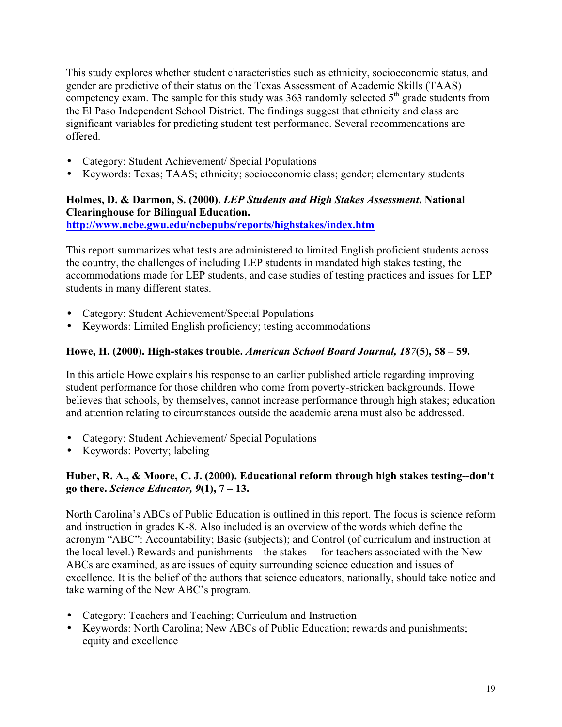This study explores whether student characteristics such as ethnicity, socioeconomic status, and gender are predictive of their status on the Texas Assessment of Academic Skills (TAAS) competency exam. The sample for this study was 363 randomly selected  $5<sup>th</sup>$  grade students from the El Paso Independent School District. The findings suggest that ethnicity and class are significant variables for predicting student test performance. Several recommendations are offered.

- Category: Student Achievement/ Special Populations
- Keywords: Texas; TAAS; ethnicity; socioeconomic class; gender; elementary students

## **Holmes, D. & Darmon, S. (2000).** *LEP Students and High Stakes Assessment***. National Clearinghouse for Bilingual Education.**

**http://www.ncbe.gwu.edu/ncbepubs/reports/highstakes/index.htm**

This report summarizes what tests are administered to limited English proficient students across the country, the challenges of including LEP students in mandated high stakes testing, the accommodations made for LEP students, and case studies of testing practices and issues for LEP students in many different states.

- Category: Student Achievement/Special Populations
- Keywords: Limited English proficiency; testing accommodations

## **Howe, H. (2000). High-stakes trouble.** *American School Board Journal, 187***(5), 58 – 59.**

In this article Howe explains his response to an earlier published article regarding improving student performance for those children who come from poverty-stricken backgrounds. Howe believes that schools, by themselves, cannot increase performance through high stakes; education and attention relating to circumstances outside the academic arena must also be addressed.

- Category: Student Achievement/ Special Populations
- Keywords: Poverty; labeling

## **Huber, R. A., & Moore, C. J. (2000). Educational reform through high stakes testing--don't go there.** *Science Educator, 9***(1), 7 – 13.**

North Carolina's ABCs of Public Education is outlined in this report. The focus is science reform and instruction in grades K-8. Also included is an overview of the words which define the acronym "ABC": Accountability; Basic (subjects); and Control (of curriculum and instruction at the local level.) Rewards and punishments—the stakes— for teachers associated with the New ABCs are examined, as are issues of equity surrounding science education and issues of excellence. It is the belief of the authors that science educators, nationally, should take notice and take warning of the New ABC's program.

- Category: Teachers and Teaching; Curriculum and Instruction
- Keywords: North Carolina; New ABCs of Public Education; rewards and punishments; equity and excellence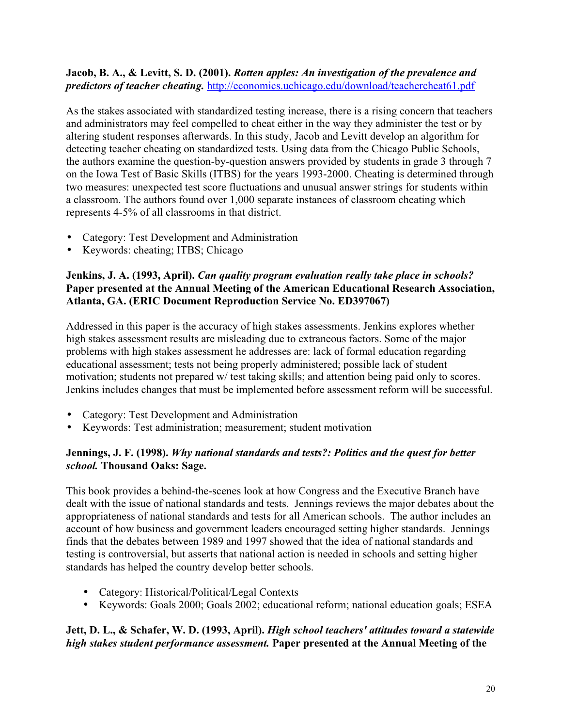#### **Jacob, B. A., & Levitt, S. D. (2001).** *Rotten apples: An investigation of the prevalence and predictors of teacher cheating.* http://economics.uchicago.edu/download/teachercheat61.pdf

As the stakes associated with standardized testing increase, there is a rising concern that teachers and administrators may feel compelled to cheat either in the way they administer the test or by altering student responses afterwards. In this study, Jacob and Levitt develop an algorithm for detecting teacher cheating on standardized tests. Using data from the Chicago Public Schools, the authors examine the question-by-question answers provided by students in grade 3 through 7 on the Iowa Test of Basic Skills (ITBS) for the years 1993-2000. Cheating is determined through two measures: unexpected test score fluctuations and unusual answer strings for students within a classroom. The authors found over 1,000 separate instances of classroom cheating which represents 4-5% of all classrooms in that district.

- Category: Test Development and Administration
- Keywords: cheating; ITBS; Chicago

## **Jenkins, J. A. (1993, April).** *Can quality program evaluation really take place in schools?* **Paper presented at the Annual Meeting of the American Educational Research Association, Atlanta, GA. (ERIC Document Reproduction Service No. ED397067)**

Addressed in this paper is the accuracy of high stakes assessments. Jenkins explores whether high stakes assessment results are misleading due to extraneous factors. Some of the major problems with high stakes assessment he addresses are: lack of formal education regarding educational assessment; tests not being properly administered; possible lack of student motivation; students not prepared w/ test taking skills; and attention being paid only to scores. Jenkins includes changes that must be implemented before assessment reform will be successful.

- Category: Test Development and Administration
- Keywords: Test administration; measurement; student motivation

## **Jennings, J. F. (1998).** *Why national standards and tests?: Politics and the quest for better school.* **Thousand Oaks: Sage.**

This book provides a behind-the-scenes look at how Congress and the Executive Branch have dealt with the issue of national standards and tests. Jennings reviews the major debates about the appropriateness of national standards and tests for all American schools. The author includes an account of how business and government leaders encouraged setting higher standards. Jennings finds that the debates between 1989 and 1997 showed that the idea of national standards and testing is controversial, but asserts that national action is needed in schools and setting higher standards has helped the country develop better schools.

- Category: Historical/Political/Legal Contexts
- Keywords: Goals 2000; Goals 2002; educational reform; national education goals; ESEA

## **Jett, D. L., & Schafer, W. D. (1993, April).** *High school teachers' attitudes toward a statewide high stakes student performance assessment.* **Paper presented at the Annual Meeting of the**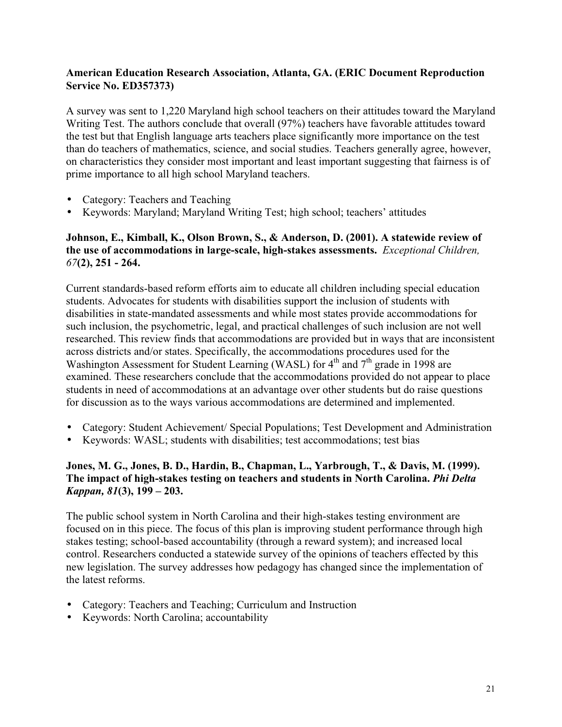## **American Education Research Association, Atlanta, GA. (ERIC Document Reproduction Service No. ED357373)**

A survey was sent to 1,220 Maryland high school teachers on their attitudes toward the Maryland Writing Test. The authors conclude that overall (97%) teachers have favorable attitudes toward the test but that English language arts teachers place significantly more importance on the test than do teachers of mathematics, science, and social studies. Teachers generally agree, however, on characteristics they consider most important and least important suggesting that fairness is of prime importance to all high school Maryland teachers.

- Category: Teachers and Teaching
- Keywords: Maryland; Maryland Writing Test; high school; teachers' attitudes

## **Johnson, E., Kimball, K., Olson Brown, S., & Anderson, D. (2001). A statewide review of the use of accommodations in large-scale, high-stakes assessments.** *Exceptional Children, 67***(2), 251 - 264.**

Current standards-based reform efforts aim to educate all children including special education students. Advocates for students with disabilities support the inclusion of students with disabilities in state-mandated assessments and while most states provide accommodations for such inclusion, the psychometric, legal, and practical challenges of such inclusion are not well researched. This review finds that accommodations are provided but in ways that are inconsistent across districts and/or states. Specifically, the accommodations procedures used for the Washington Assessment for Student Learning (WASL) for  $4<sup>th</sup>$  and  $7<sup>th</sup>$  grade in 1998 are examined. These researchers conclude that the accommodations provided do not appear to place students in need of accommodations at an advantage over other students but do raise questions for discussion as to the ways various accommodations are determined and implemented.

- Category: Student Achievement/ Special Populations; Test Development and Administration
- Keywords: WASL; students with disabilities; test accommodations; test bias

## **Jones, M. G., Jones, B. D., Hardin, B., Chapman, L., Yarbrough, T., & Davis, M. (1999). The impact of high-stakes testing on teachers and students in North Carolina.** *Phi Delta Kappan, 81***(3), 199 – 203.**

The public school system in North Carolina and their high-stakes testing environment are focused on in this piece. The focus of this plan is improving student performance through high stakes testing; school-based accountability (through a reward system); and increased local control. Researchers conducted a statewide survey of the opinions of teachers effected by this new legislation. The survey addresses how pedagogy has changed since the implementation of the latest reforms.

- Category: Teachers and Teaching; Curriculum and Instruction
- Keywords: North Carolina; accountability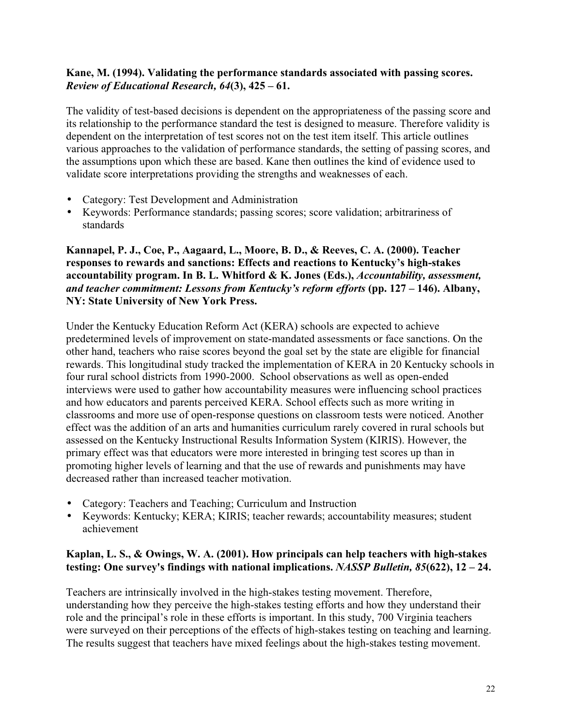## **Kane, M. (1994). Validating the performance standards associated with passing scores.** *Review of Educational Research, 64***(3), 425 – 61.**

The validity of test-based decisions is dependent on the appropriateness of the passing score and its relationship to the performance standard the test is designed to measure. Therefore validity is dependent on the interpretation of test scores not on the test item itself. This article outlines various approaches to the validation of performance standards, the setting of passing scores, and the assumptions upon which these are based. Kane then outlines the kind of evidence used to validate score interpretations providing the strengths and weaknesses of each.

- Category: Test Development and Administration
- Keywords: Performance standards; passing scores; score validation; arbitrariness of standards

**Kannapel, P. J., Coe, P., Aagaard, L., Moore, B. D., & Reeves, C. A. (2000). Teacher responses to rewards and sanctions: Effects and reactions to Kentucky's high-stakes accountability program. In B. L. Whitford & K. Jones (Eds.),** *Accountability, assessment, and teacher commitment: Lessons from Kentucky's reform efforts* **(pp. 127 – 146). Albany, NY: State University of New York Press.**

Under the Kentucky Education Reform Act (KERA) schools are expected to achieve predetermined levels of improvement on state-mandated assessments or face sanctions. On the other hand, teachers who raise scores beyond the goal set by the state are eligible for financial rewards. This longitudinal study tracked the implementation of KERA in 20 Kentucky schools in four rural school districts from 1990-2000. School observations as well as open-ended interviews were used to gather how accountability measures were influencing school practices and how educators and parents perceived KERA. School effects such as more writing in classrooms and more use of open-response questions on classroom tests were noticed. Another effect was the addition of an arts and humanities curriculum rarely covered in rural schools but assessed on the Kentucky Instructional Results Information System (KIRIS). However, the primary effect was that educators were more interested in bringing test scores up than in promoting higher levels of learning and that the use of rewards and punishments may have decreased rather than increased teacher motivation.

- Category: Teachers and Teaching; Curriculum and Instruction
- Keywords: Kentucky; KERA; KIRIS; teacher rewards; accountability measures; student achievement

## **Kaplan, L. S., & Owings, W. A. (2001). How principals can help teachers with high-stakes testing: One survey's findings with national implications.** *NASSP Bulletin, 85***(622), 12 – 24.**

Teachers are intrinsically involved in the high-stakes testing movement. Therefore, understanding how they perceive the high-stakes testing efforts and how they understand their role and the principal's role in these efforts is important. In this study, 700 Virginia teachers were surveyed on their perceptions of the effects of high-stakes testing on teaching and learning. The results suggest that teachers have mixed feelings about the high-stakes testing movement.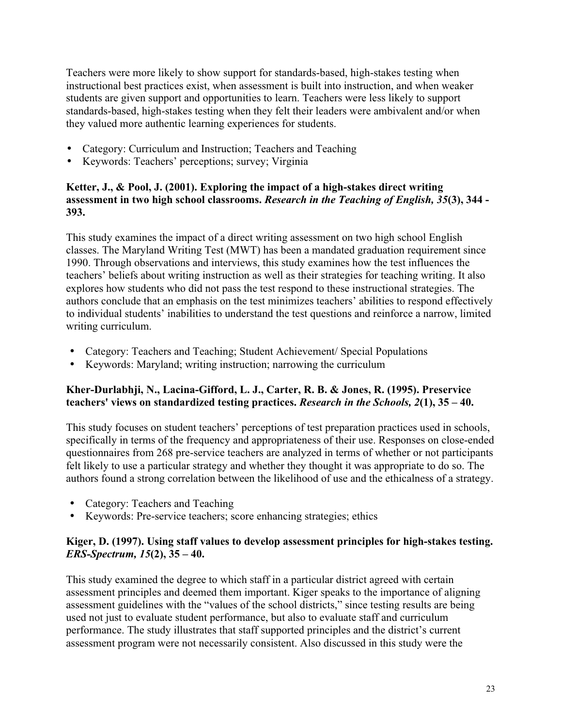Teachers were more likely to show support for standards-based, high-stakes testing when instructional best practices exist, when assessment is built into instruction, and when weaker students are given support and opportunities to learn. Teachers were less likely to support standards-based, high-stakes testing when they felt their leaders were ambivalent and/or when they valued more authentic learning experiences for students.

- Category: Curriculum and Instruction; Teachers and Teaching
- Keywords: Teachers' perceptions; survey; Virginia

## **Ketter, J., & Pool, J. (2001). Exploring the impact of a high-stakes direct writing assessment in two high school classrooms.** *Research in the Teaching of English, 35***(3), 344 - 393.**

This study examines the impact of a direct writing assessment on two high school English classes. The Maryland Writing Test (MWT) has been a mandated graduation requirement since 1990. Through observations and interviews, this study examines how the test influences the teachers' beliefs about writing instruction as well as their strategies for teaching writing. It also explores how students who did not pass the test respond to these instructional strategies. The authors conclude that an emphasis on the test minimizes teachers' abilities to respond effectively to individual students' inabilities to understand the test questions and reinforce a narrow, limited writing curriculum.

- Category: Teachers and Teaching; Student Achievement/ Special Populations
- Keywords: Maryland; writing instruction; narrowing the curriculum

## **Kher-Durlabhji, N., Lacina-Gifford, L. J., Carter, R. B. & Jones, R. (1995). Preservice teachers' views on standardized testing practices.** *Research in the Schools, 2***(1), 35 – 40.**

This study focuses on student teachers' perceptions of test preparation practices used in schools, specifically in terms of the frequency and appropriateness of their use. Responses on close-ended questionnaires from 268 pre-service teachers are analyzed in terms of whether or not participants felt likely to use a particular strategy and whether they thought it was appropriate to do so. The authors found a strong correlation between the likelihood of use and the ethicalness of a strategy.

- Category: Teachers and Teaching
- Keywords: Pre-service teachers; score enhancing strategies; ethics

## **Kiger, D. (1997). Using staff values to develop assessment principles for high-stakes testing.** *ERS-Spectrum, 15***(2), 35 – 40.**

This study examined the degree to which staff in a particular district agreed with certain assessment principles and deemed them important. Kiger speaks to the importance of aligning assessment guidelines with the "values of the school districts," since testing results are being used not just to evaluate student performance, but also to evaluate staff and curriculum performance. The study illustrates that staff supported principles and the district's current assessment program were not necessarily consistent. Also discussed in this study were the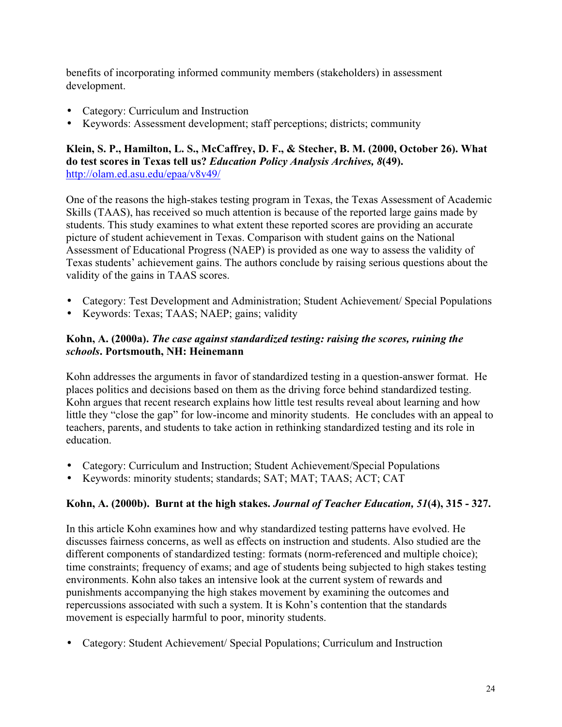benefits of incorporating informed community members (stakeholders) in assessment development.

- Category: Curriculum and Instruction
- Keywords: Assessment development; staff perceptions; districts; community

## **Klein, S. P., Hamilton, L. S., McCaffrey, D. F., & Stecher, B. M. (2000, October 26). What do test scores in Texas tell us?** *Education Policy Analysis Archives, 8***(49).** http://olam.ed.asu.edu/epaa/v8v49/

One of the reasons the high-stakes testing program in Texas, the Texas Assessment of Academic Skills (TAAS), has received so much attention is because of the reported large gains made by students. This study examines to what extent these reported scores are providing an accurate picture of student achievement in Texas. Comparison with student gains on the National Assessment of Educational Progress (NAEP) is provided as one way to assess the validity of Texas students' achievement gains. The authors conclude by raising serious questions about the validity of the gains in TAAS scores.

- Category: Test Development and Administration; Student Achievement/ Special Populations
- Keywords: Texas; TAAS; NAEP; gains; validity

## **Kohn, A. (2000a).** *The case against standardized testing: raising the scores, ruining the schools***. Portsmouth, NH: Heinemann**

Kohn addresses the arguments in favor of standardized testing in a question-answer format. He places politics and decisions based on them as the driving force behind standardized testing. Kohn argues that recent research explains how little test results reveal about learning and how little they "close the gap" for low-income and minority students. He concludes with an appeal to teachers, parents, and students to take action in rethinking standardized testing and its role in education.

- Category: Curriculum and Instruction; Student Achievement/Special Populations
- Keywords: minority students; standards; SAT; MAT; TAAS; ACT; CAT

## **Kohn, A. (2000b). Burnt at the high stakes.** *Journal of Teacher Education, 51***(4), 315 - 327.**

In this article Kohn examines how and why standardized testing patterns have evolved. He discusses fairness concerns, as well as effects on instruction and students. Also studied are the different components of standardized testing: formats (norm-referenced and multiple choice); time constraints; frequency of exams; and age of students being subjected to high stakes testing environments. Kohn also takes an intensive look at the current system of rewards and punishments accompanying the high stakes movement by examining the outcomes and repercussions associated with such a system. It is Kohn's contention that the standards movement is especially harmful to poor, minority students.

• Category: Student Achievement/ Special Populations; Curriculum and Instruction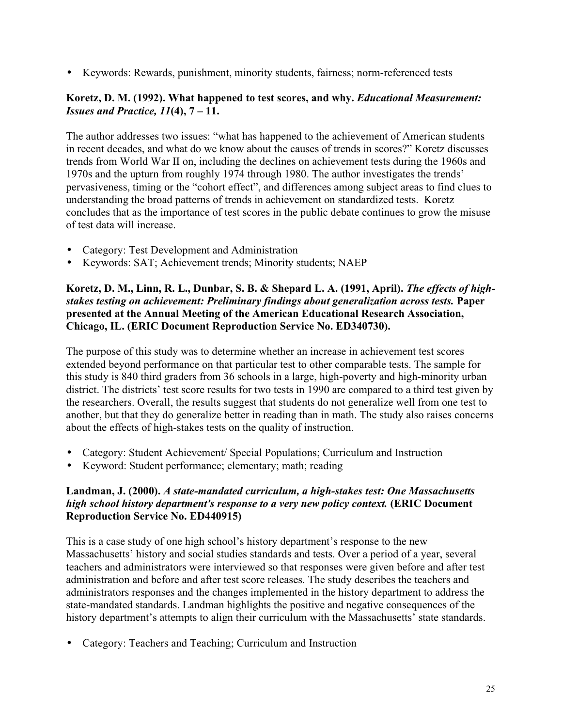• Keywords: Rewards, punishment, minority students, fairness; norm-referenced tests

#### **Koretz, D. M. (1992). What happened to test scores, and why.** *Educational Measurement: Issues and Practice, 11***(4), 7 – 11.**

The author addresses two issues: "what has happened to the achievement of American students in recent decades, and what do we know about the causes of trends in scores?" Koretz discusses trends from World War II on, including the declines on achievement tests during the 1960s and 1970s and the upturn from roughly 1974 through 1980. The author investigates the trends' pervasiveness, timing or the "cohort effect", and differences among subject areas to find clues to understanding the broad patterns of trends in achievement on standardized tests. Koretz concludes that as the importance of test scores in the public debate continues to grow the misuse of test data will increase.

- Category: Test Development and Administration
- Keywords: SAT; Achievement trends; Minority students; NAEP

#### **Koretz, D. M., Linn, R. L., Dunbar, S. B. & Shepard L. A. (1991, April).** *The effects of highstakes testing on achievement: Preliminary findings about generalization across tests.* **Paper presented at the Annual Meeting of the American Educational Research Association, Chicago, IL. (ERIC Document Reproduction Service No. ED340730).**

The purpose of this study was to determine whether an increase in achievement test scores extended beyond performance on that particular test to other comparable tests. The sample for this study is 840 third graders from 36 schools in a large, high-poverty and high-minority urban district. The districts' test score results for two tests in 1990 are compared to a third test given by the researchers. Overall, the results suggest that students do not generalize well from one test to another, but that they do generalize better in reading than in math. The study also raises concerns about the effects of high-stakes tests on the quality of instruction.

- Category: Student Achievement/ Special Populations; Curriculum and Instruction
- Keyword: Student performance; elementary; math; reading

## **Landman, J. (2000).** *A state-mandated curriculum, a high-stakes test: One Massachusetts high school history department's response to a very new policy context.* **(ERIC Document Reproduction Service No. ED440915)**

This is a case study of one high school's history department's response to the new Massachusetts' history and social studies standards and tests. Over a period of a year, several teachers and administrators were interviewed so that responses were given before and after test administration and before and after test score releases. The study describes the teachers and administrators responses and the changes implemented in the history department to address the state-mandated standards. Landman highlights the positive and negative consequences of the history department's attempts to align their curriculum with the Massachusetts' state standards.

• Category: Teachers and Teaching; Curriculum and Instruction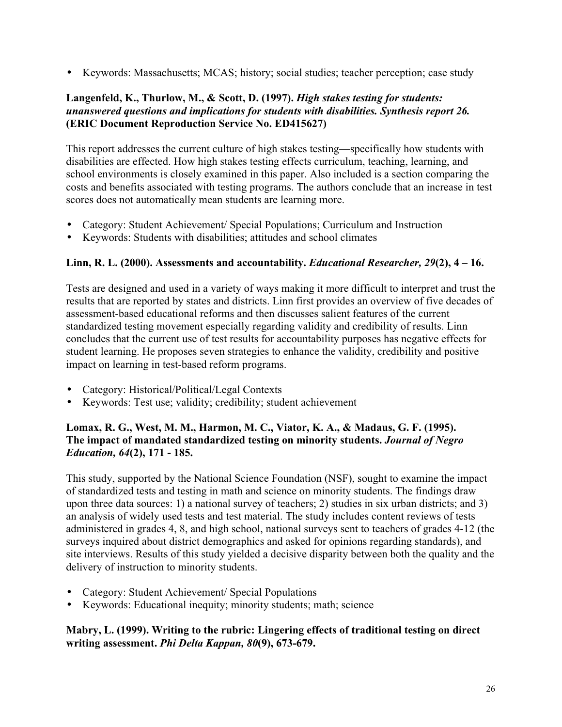• Keywords: Massachusetts; MCAS; history; social studies; teacher perception; case study

## **Langenfeld, K., Thurlow, M., & Scott, D. (1997).** *High stakes testing for students: unanswered questions and implications for students with disabilities. Synthesis report 26.* **(ERIC Document Reproduction Service No. ED415627)**

This report addresses the current culture of high stakes testing—specifically how students with disabilities are effected. How high stakes testing effects curriculum, teaching, learning, and school environments is closely examined in this paper. Also included is a section comparing the costs and benefits associated with testing programs. The authors conclude that an increase in test scores does not automatically mean students are learning more.

- Category: Student Achievement/ Special Populations; Curriculum and Instruction
- Keywords: Students with disabilities; attitudes and school climates

## **Linn, R. L. (2000). Assessments and accountability.** *Educational Researcher, 29***(2), 4 – 16.**

Tests are designed and used in a variety of ways making it more difficult to interpret and trust the results that are reported by states and districts. Linn first provides an overview of five decades of assessment-based educational reforms and then discusses salient features of the current standardized testing movement especially regarding validity and credibility of results. Linn concludes that the current use of test results for accountability purposes has negative effects for student learning. He proposes seven strategies to enhance the validity, credibility and positive impact on learning in test-based reform programs.

- Category: Historical/Political/Legal Contexts
- Keywords: Test use; validity; credibility; student achievement

## **Lomax, R. G., West, M. M., Harmon, M. C., Viator, K. A., & Madaus, G. F. (1995). The impact of mandated standardized testing on minority students.** *Journal of Negro Education, 64***(2), 171 - 185.**

This study, supported by the National Science Foundation (NSF), sought to examine the impact of standardized tests and testing in math and science on minority students. The findings draw upon three data sources: 1) a national survey of teachers; 2) studies in six urban districts; and 3) an analysis of widely used tests and test material. The study includes content reviews of tests administered in grades 4, 8, and high school, national surveys sent to teachers of grades 4-12 (the surveys inquired about district demographics and asked for opinions regarding standards), and site interviews. Results of this study yielded a decisive disparity between both the quality and the delivery of instruction to minority students.

- Category: Student Achievement/ Special Populations
- Keywords: Educational inequity; minority students; math; science

## **Mabry, L. (1999). Writing to the rubric: Lingering effects of traditional testing on direct writing assessment.** *Phi Delta Kappan, 80***(9), 673-679.**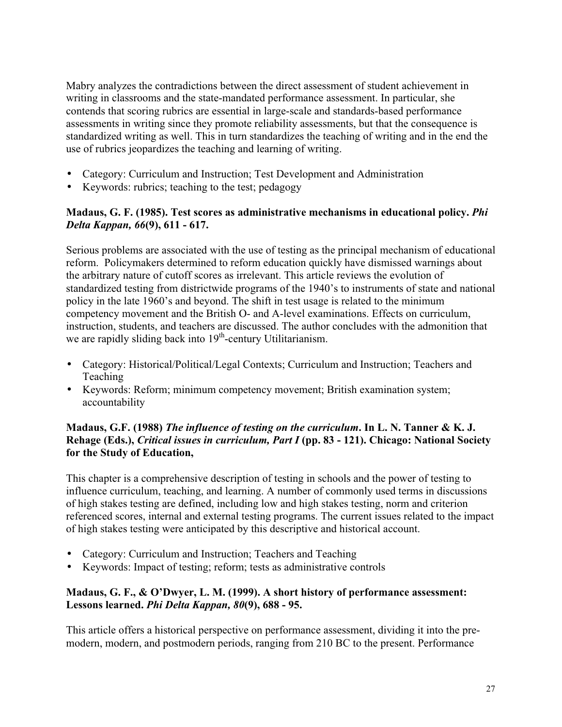Mabry analyzes the contradictions between the direct assessment of student achievement in writing in classrooms and the state-mandated performance assessment. In particular, she contends that scoring rubrics are essential in large-scale and standards-based performance assessments in writing since they promote reliability assessments, but that the consequence is standardized writing as well. This in turn standardizes the teaching of writing and in the end the use of rubrics jeopardizes the teaching and learning of writing.

- Category: Curriculum and Instruction; Test Development and Administration
- Keywords: rubrics; teaching to the test; pedagogy

## **Madaus, G. F. (1985). Test scores as administrative mechanisms in educational policy.** *Phi Delta Kappan, 66***(9), 611 - 617.**

Serious problems are associated with the use of testing as the principal mechanism of educational reform. Policymakers determined to reform education quickly have dismissed warnings about the arbitrary nature of cutoff scores as irrelevant. This article reviews the evolution of standardized testing from districtwide programs of the 1940's to instruments of state and national policy in the late 1960's and beyond. The shift in test usage is related to the minimum competency movement and the British O- and A-level examinations. Effects on curriculum, instruction, students, and teachers are discussed. The author concludes with the admonition that we are rapidly sliding back into  $19<sup>th</sup>$ -century Utilitarianism.

- Category: Historical/Political/Legal Contexts; Curriculum and Instruction; Teachers and Teaching
- Keywords: Reform; minimum competency movement; British examination system; accountability

## **Madaus, G.F. (1988)** *The influence of testing on the curriculum***. In L. N. Tanner & K. J. Rehage (Eds.),** *Critical issues in curriculum, Part I* **(pp. 83 - 121). Chicago: National Society for the Study of Education,**

This chapter is a comprehensive description of testing in schools and the power of testing to influence curriculum, teaching, and learning. A number of commonly used terms in discussions of high stakes testing are defined, including low and high stakes testing, norm and criterion referenced scores, internal and external testing programs. The current issues related to the impact of high stakes testing were anticipated by this descriptive and historical account.

- Category: Curriculum and Instruction; Teachers and Teaching
- Keywords: Impact of testing; reform; tests as administrative controls

## **Madaus, G. F., & O'Dwyer, L. M. (1999). A short history of performance assessment: Lessons learned.** *Phi Delta Kappan, 80***(9), 688 - 95.**

This article offers a historical perspective on performance assessment, dividing it into the premodern, modern, and postmodern periods, ranging from 210 BC to the present. Performance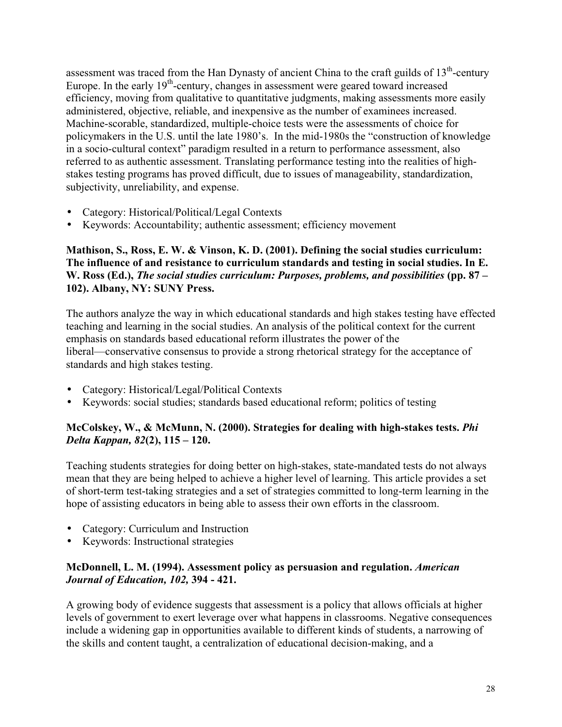assessment was traced from the Han Dynasty of ancient China to the craft guilds of  $13<sup>th</sup>$ -century Europe. In the early  $19<sup>th</sup>$ -century, changes in assessment were geared toward increased efficiency, moving from qualitative to quantitative judgments, making assessments more easily administered, objective, reliable, and inexpensive as the number of examinees increased. Machine-scorable, standardized, multiple-choice tests were the assessments of choice for policymakers in the U.S. until the late 1980's. In the mid-1980s the "construction of knowledge in a socio-cultural context" paradigm resulted in a return to performance assessment, also referred to as authentic assessment. Translating performance testing into the realities of highstakes testing programs has proved difficult, due to issues of manageability, standardization, subjectivity, unreliability, and expense.

- Category: Historical/Political/Legal Contexts
- Keywords: Accountability; authentic assessment; efficiency movement

**Mathison, S., Ross, E. W. & Vinson, K. D. (2001). Defining the social studies curriculum: The influence of and resistance to curriculum standards and testing in social studies. In E. W. Ross (Ed.),** *The social studies curriculum: Purposes, problems, and possibilities* **(pp. 87 – 102). Albany, NY: SUNY Press.**

The authors analyze the way in which educational standards and high stakes testing have effected teaching and learning in the social studies. An analysis of the political context for the current emphasis on standards based educational reform illustrates the power of the liberal—conservative consensus to provide a strong rhetorical strategy for the acceptance of standards and high stakes testing.

- Category: Historical/Legal/Political Contexts
- Keywords: social studies; standards based educational reform; politics of testing

## **McColskey, W., & McMunn, N. (2000). Strategies for dealing with high-stakes tests.** *Phi Delta Kappan, 82***(2), 115 – 120.**

Teaching students strategies for doing better on high-stakes, state-mandated tests do not always mean that they are being helped to achieve a higher level of learning. This article provides a set of short-term test-taking strategies and a set of strategies committed to long-term learning in the hope of assisting educators in being able to assess their own efforts in the classroom.

- Category: Curriculum and Instruction
- Keywords: Instructional strategies

## **McDonnell, L. M. (1994). Assessment policy as persuasion and regulation.** *American Journal of Education, 102,* **394 - 421.**

A growing body of evidence suggests that assessment is a policy that allows officials at higher levels of government to exert leverage over what happens in classrooms. Negative consequences include a widening gap in opportunities available to different kinds of students, a narrowing of the skills and content taught, a centralization of educational decision-making, and a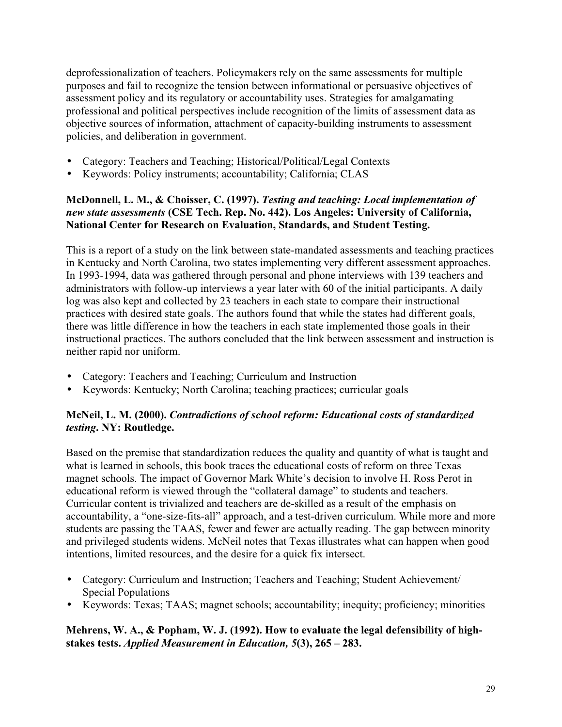deprofessionalization of teachers. Policymakers rely on the same assessments for multiple purposes and fail to recognize the tension between informational or persuasive objectives of assessment policy and its regulatory or accountability uses. Strategies for amalgamating professional and political perspectives include recognition of the limits of assessment data as objective sources of information, attachment of capacity-building instruments to assessment policies, and deliberation in government.

- Category: Teachers and Teaching; Historical/Political/Legal Contexts
- Keywords: Policy instruments; accountability; California; CLAS

## **McDonnell, L. M., & Choisser, C. (1997).** *Testing and teaching: Local implementation of new state assessments* **(CSE Tech. Rep. No. 442). Los Angeles: University of California, National Center for Research on Evaluation, Standards, and Student Testing.**

This is a report of a study on the link between state-mandated assessments and teaching practices in Kentucky and North Carolina, two states implementing very different assessment approaches. In 1993-1994, data was gathered through personal and phone interviews with 139 teachers and administrators with follow-up interviews a year later with 60 of the initial participants. A daily log was also kept and collected by 23 teachers in each state to compare their instructional practices with desired state goals. The authors found that while the states had different goals, there was little difference in how the teachers in each state implemented those goals in their instructional practices. The authors concluded that the link between assessment and instruction is neither rapid nor uniform.

- Category: Teachers and Teaching; Curriculum and Instruction
- Keywords: Kentucky; North Carolina; teaching practices; curricular goals

## **McNeil, L. M. (2000).** *Contradictions of school reform: Educational costs of standardized testing***. NY: Routledge.**

Based on the premise that standardization reduces the quality and quantity of what is taught and what is learned in schools, this book traces the educational costs of reform on three Texas magnet schools. The impact of Governor Mark White's decision to involve H. Ross Perot in educational reform is viewed through the "collateral damage" to students and teachers. Curricular content is trivialized and teachers are de-skilled as a result of the emphasis on accountability, a "one-size-fits-all" approach, and a test-driven curriculum. While more and more students are passing the TAAS, fewer and fewer are actually reading. The gap between minority and privileged students widens. McNeil notes that Texas illustrates what can happen when good intentions, limited resources, and the desire for a quick fix intersect.

- Category: Curriculum and Instruction; Teachers and Teaching; Student Achievement/ Special Populations
- Keywords: Texas; TAAS; magnet schools; accountability; inequity; proficiency; minorities

## **Mehrens, W. A., & Popham, W. J. (1992). How to evaluate the legal defensibility of highstakes tests.** *Applied Measurement in Education, 5***(3), 265 – 283.**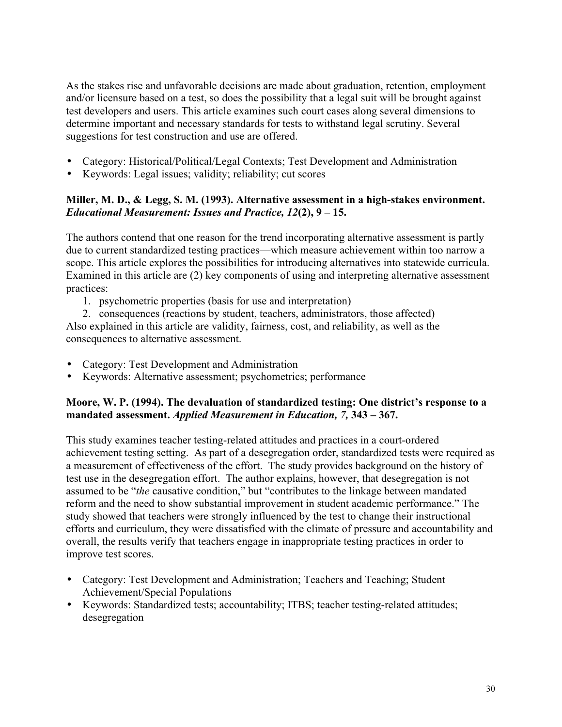As the stakes rise and unfavorable decisions are made about graduation, retention, employment and/or licensure based on a test, so does the possibility that a legal suit will be brought against test developers and users. This article examines such court cases along several dimensions to determine important and necessary standards for tests to withstand legal scrutiny. Several suggestions for test construction and use are offered.

- Category: Historical/Political/Legal Contexts; Test Development and Administration
- Keywords: Legal issues; validity; reliability; cut scores

## **Miller, M. D., & Legg, S. M. (1993). Alternative assessment in a high-stakes environment.** *Educational Measurement: Issues and Practice, 12***(2), 9 – 15.**

The authors contend that one reason for the trend incorporating alternative assessment is partly due to current standardized testing practices—which measure achievement within too narrow a scope. This article explores the possibilities for introducing alternatives into statewide curricula. Examined in this article are (2) key components of using and interpreting alternative assessment practices:

1. psychometric properties (basis for use and interpretation)

2. consequences (reactions by student, teachers, administrators, those affected) Also explained in this article are validity, fairness, cost, and reliability, as well as the

consequences to alternative assessment.

- Category: Test Development and Administration
- Keywords: Alternative assessment; psychometrics; performance

## **Moore, W. P. (1994). The devaluation of standardized testing: One district's response to a mandated assessment.** *Applied Measurement in Education, 7,* **343 – 367.**

This study examines teacher testing-related attitudes and practices in a court-ordered achievement testing setting. As part of a desegregation order, standardized tests were required as a measurement of effectiveness of the effort. The study provides background on the history of test use in the desegregation effort. The author explains, however, that desegregation is not assumed to be "*the* causative condition," but "contributes to the linkage between mandated reform and the need to show substantial improvement in student academic performance." The study showed that teachers were strongly influenced by the test to change their instructional efforts and curriculum, they were dissatisfied with the climate of pressure and accountability and overall, the results verify that teachers engage in inappropriate testing practices in order to improve test scores.

- Category: Test Development and Administration; Teachers and Teaching; Student Achievement/Special Populations
- Keywords: Standardized tests; accountability; ITBS; teacher testing-related attitudes; desegregation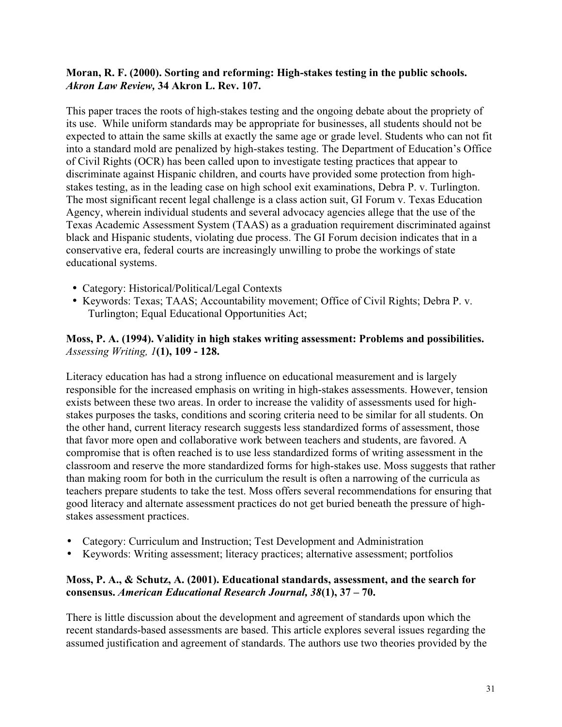## **Moran, R. F. (2000). Sorting and reforming: High-stakes testing in the public schools.** *Akron Law Review,* **34 Akron L. Rev. 107.**

This paper traces the roots of high-stakes testing and the ongoing debate about the propriety of its use. While uniform standards may be appropriate for businesses, all students should not be expected to attain the same skills at exactly the same age or grade level. Students who can not fit into a standard mold are penalized by high-stakes testing. The Department of Education's Office of Civil Rights (OCR) has been called upon to investigate testing practices that appear to discriminate against Hispanic children, and courts have provided some protection from highstakes testing, as in the leading case on high school exit examinations, Debra P. v. Turlington. The most significant recent legal challenge is a class action suit, GI Forum v. Texas Education Agency, wherein individual students and several advocacy agencies allege that the use of the Texas Academic Assessment System (TAAS) as a graduation requirement discriminated against black and Hispanic students, violating due process. The GI Forum decision indicates that in a conservative era, federal courts are increasingly unwilling to probe the workings of state educational systems.

- Category: Historical/Political/Legal Contexts
- Keywords: Texas; TAAS; Accountability movement; Office of Civil Rights; Debra P. v. Turlington; Equal Educational Opportunities Act;

#### **Moss, P. A. (1994). Validity in high stakes writing assessment: Problems and possibilities.** *Assessing Writing, 1***(1), 109 - 128.**

Literacy education has had a strong influence on educational measurement and is largely responsible for the increased emphasis on writing in high-stakes assessments. However, tension exists between these two areas. In order to increase the validity of assessments used for highstakes purposes the tasks, conditions and scoring criteria need to be similar for all students. On the other hand, current literacy research suggests less standardized forms of assessment, those that favor more open and collaborative work between teachers and students, are favored. A compromise that is often reached is to use less standardized forms of writing assessment in the classroom and reserve the more standardized forms for high-stakes use. Moss suggests that rather than making room for both in the curriculum the result is often a narrowing of the curricula as teachers prepare students to take the test. Moss offers several recommendations for ensuring that good literacy and alternate assessment practices do not get buried beneath the pressure of highstakes assessment practices.

- Category: Curriculum and Instruction; Test Development and Administration
- Keywords: Writing assessment; literacy practices; alternative assessment; portfolios

## **Moss, P. A., & Schutz, A. (2001). Educational standards, assessment, and the search for consensus.** *American Educational Research Journal, 38***(1), 37 – 70.**

There is little discussion about the development and agreement of standards upon which the recent standards-based assessments are based. This article explores several issues regarding the assumed justification and agreement of standards. The authors use two theories provided by the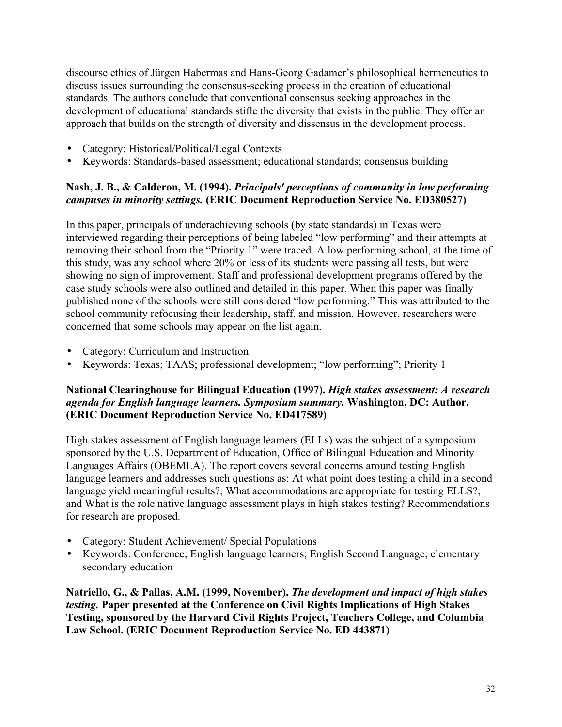discourse ethics of Jürgen Habermas and Hans-Georg Gadamer's philosophical hermeneutics to discuss issues surrounding the consensus-seeking process in the creation of educational standards. The authors conclude that conventional consensus seeking approaches in the development of educational standards stifle the diversity that exists in the public. They offer an approach that builds on the strength of diversity and dissensus in the development process.

- Category: Historical/Political/Legal Contexts
- Keywords: Standards-based assessment; educational standards; consensus building

## **Nash, J. B., & Calderon, M. (1994).** *Principals' perceptions of community in low performing campuses in minority settings.* **(ERIC Document Reproduction Service No. ED380527)**

In this paper, principals of underachieving schools (by state standards) in Texas were interviewed regarding their perceptions of being labeled "low performing" and their attempts at removing their school from the "Priority 1" were traced. A low performing school, at the time of this study, was any school where 20% or less of its students were passing all tests, but were showing no sign of improvement. Staff and professional development programs offered by the case study schools were also outlined and detailed in this paper. When this paper was finally published none of the schools were still considered "low performing." This was attributed to the school community refocusing their leadership, staff, and mission. However, researchers were concerned that some schools may appear on the list again.

- Category: Curriculum and Instruction
- Keywords: Texas; TAAS; professional development; "low performing"; Priority 1

## **National Clearinghouse for Bilingual Education (1997).** *High stakes assessment: A research agenda for English language learners. Symposium summary.* **Washington, DC: Author. (ERIC Document Reproduction Service No. ED417589)**

High stakes assessment of English language learners (ELLs) was the subject of a symposium sponsored by the U.S. Department of Education, Office of Bilingual Education and Minority Languages Affairs (OBEMLA). The report covers several concerns around testing English language learners and addresses such questions as: At what point does testing a child in a second language yield meaningful results?; What accommodations are appropriate for testing ELLS?; and What is the role native language assessment plays in high stakes testing? Recommendations for research are proposed.

- Category: Student Achievement/ Special Populations
- Keywords: Conference; English language learners; English Second Language; elementary secondary education

**Natriello, G., & Pallas, A.M. (1999, November).** *The development and impact of high stakes testing.* **Paper presented at the Conference on Civil Rights Implications of High Stakes Testing, sponsored by the Harvard Civil Rights Project, Teachers College, and Columbia Law School. (ERIC Document Reproduction Service No. ED 443871)**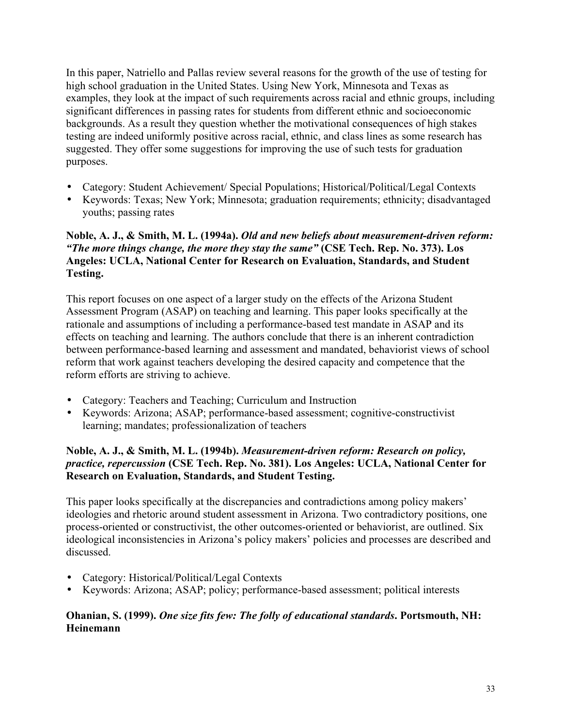In this paper, Natriello and Pallas review several reasons for the growth of the use of testing for high school graduation in the United States. Using New York, Minnesota and Texas as examples, they look at the impact of such requirements across racial and ethnic groups, including significant differences in passing rates for students from different ethnic and socioeconomic backgrounds. As a result they question whether the motivational consequences of high stakes testing are indeed uniformly positive across racial, ethnic, and class lines as some research has suggested. They offer some suggestions for improving the use of such tests for graduation purposes.

- Category: Student Achievement/ Special Populations; Historical/Political/Legal Contexts
- Keywords: Texas; New York; Minnesota; graduation requirements; ethnicity; disadvantaged youths; passing rates

## **Noble, A. J., & Smith, M. L. (1994a).** *Old and new beliefs about measurement-driven reform: "The more things change, the more they stay the same"* **(CSE Tech. Rep. No. 373). Los Angeles: UCLA, National Center for Research on Evaluation, Standards, and Student Testing.**

This report focuses on one aspect of a larger study on the effects of the Arizona Student Assessment Program (ASAP) on teaching and learning. This paper looks specifically at the rationale and assumptions of including a performance-based test mandate in ASAP and its effects on teaching and learning. The authors conclude that there is an inherent contradiction between performance-based learning and assessment and mandated, behaviorist views of school reform that work against teachers developing the desired capacity and competence that the reform efforts are striving to achieve.

- Category: Teachers and Teaching; Curriculum and Instruction
- Keywords: Arizona; ASAP; performance-based assessment; cognitive-constructivist learning; mandates; professionalization of teachers

## **Noble, A. J., & Smith, M. L. (1994b).** *Measurement-driven reform: Research on policy, practice, repercussion* **(CSE Tech. Rep. No. 381). Los Angeles: UCLA, National Center for Research on Evaluation, Standards, and Student Testing.**

This paper looks specifically at the discrepancies and contradictions among policy makers' ideologies and rhetoric around student assessment in Arizona. Two contradictory positions, one process-oriented or constructivist, the other outcomes-oriented or behaviorist, are outlined. Six ideological inconsistencies in Arizona's policy makers' policies and processes are described and discussed.

- Category: Historical/Political/Legal Contexts
- Keywords: Arizona; ASAP; policy; performance-based assessment; political interests

## **Ohanian, S. (1999).** *One size fits few: The folly of educational standards***. Portsmouth, NH: Heinemann**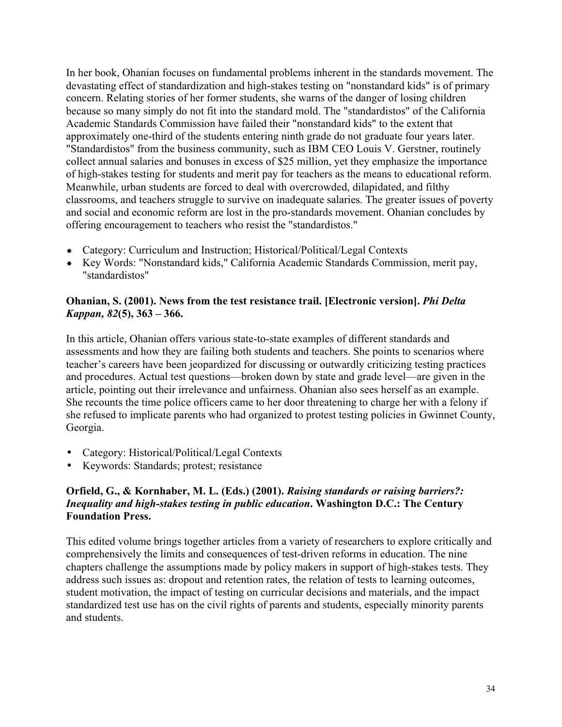In her book, Ohanian focuses on fundamental problems inherent in the standards movement. The devastating effect of standardization and high-stakes testing on "nonstandard kids" is of primary concern. Relating stories of her former students, she warns of the danger of losing children because so many simply do not fit into the standard mold. The "standardistos" of the California Academic Standards Commission have failed their "nonstandard kids" to the extent that approximately one-third of the students entering ninth grade do not graduate four years later. "Standardistos" from the business community, such as IBM CEO Louis V. Gerstner, routinely collect annual salaries and bonuses in excess of \$25 million, yet they emphasize the importance of high-stakes testing for students and merit pay for teachers as the means to educational reform. Meanwhile, urban students are forced to deal with overcrowded, dilapidated, and filthy classrooms, and teachers struggle to survive on inadequate salaries. The greater issues of poverty and social and economic reform are lost in the pro-standards movement. Ohanian concludes by offering encouragement to teachers who resist the "standardistos."

- Category: Curriculum and Instruction; Historical/Political/Legal Contexts
- Key Words: "Nonstandard kids," California Academic Standards Commission, merit pay, "standardistos"

## **Ohanian, S. (2001). News from the test resistance trail. [Electronic version].** *Phi Delta Kappan, 82***(5), 363 – 366.**

In this article, Ohanian offers various state-to-state examples of different standards and assessments and how they are failing both students and teachers. She points to scenarios where teacher's careers have been jeopardized for discussing or outwardly criticizing testing practices and procedures. Actual test questions—broken down by state and grade level—are given in the article, pointing out their irrelevance and unfairness. Ohanian also sees herself as an example. She recounts the time police officers came to her door threatening to charge her with a felony if she refused to implicate parents who had organized to protest testing policies in Gwinnet County, Georgia.

- Category: Historical/Political/Legal Contexts
- Keywords: Standards; protest; resistance

## **Orfield, G., & Kornhaber, M. L. (Eds.) (2001).** *Raising standards or raising barriers?: Inequality and high-stakes testing in public education***. Washington D.C.: The Century Foundation Press.**

This edited volume brings together articles from a variety of researchers to explore critically and comprehensively the limits and consequences of test-driven reforms in education. The nine chapters challenge the assumptions made by policy makers in support of high-stakes tests. They address such issues as: dropout and retention rates, the relation of tests to learning outcomes, student motivation, the impact of testing on curricular decisions and materials, and the impact standardized test use has on the civil rights of parents and students, especially minority parents and students.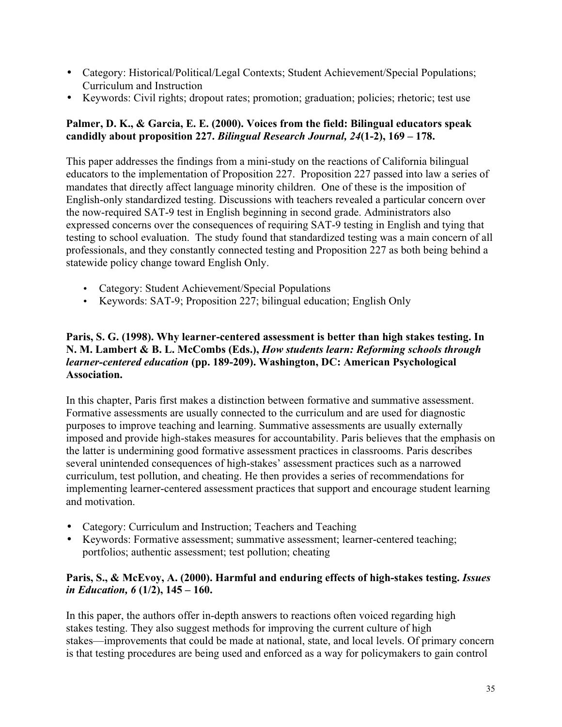- Category: Historical/Political/Legal Contexts; Student Achievement/Special Populations; Curriculum and Instruction
- Keywords: Civil rights; dropout rates; promotion; graduation; policies; rhetoric; test use

## **Palmer, D. K., & Garcia, E. E. (2000). Voices from the field: Bilingual educators speak candidly about proposition 227.** *Bilingual Research Journal, 24***(1-2), 169 – 178.**

This paper addresses the findings from a mini-study on the reactions of California bilingual educators to the implementation of Proposition 227. Proposition 227 passed into law a series of mandates that directly affect language minority children. One of these is the imposition of English-only standardized testing. Discussions with teachers revealed a particular concern over the now-required SAT-9 test in English beginning in second grade. Administrators also expressed concerns over the consequences of requiring SAT-9 testing in English and tying that testing to school evaluation. The study found that standardized testing was a main concern of all professionals, and they constantly connected testing and Proposition 227 as both being behind a statewide policy change toward English Only.

- Category: Student Achievement/Special Populations
- Keywords: SAT-9; Proposition 227; bilingual education; English Only

## **Paris, S. G. (1998). Why learner-centered assessment is better than high stakes testing. In N. M. Lambert & B. L. McCombs (Eds.),** *How students learn: Reforming schools through learner-centered education* **(pp. 189-209). Washington, DC: American Psychological Association.**

In this chapter, Paris first makes a distinction between formative and summative assessment. Formative assessments are usually connected to the curriculum and are used for diagnostic purposes to improve teaching and learning. Summative assessments are usually externally imposed and provide high-stakes measures for accountability. Paris believes that the emphasis on the latter is undermining good formative assessment practices in classrooms. Paris describes several unintended consequences of high-stakes' assessment practices such as a narrowed curriculum, test pollution, and cheating. He then provides a series of recommendations for implementing learner-centered assessment practices that support and encourage student learning and motivation.

- Category: Curriculum and Instruction; Teachers and Teaching
- Keywords: Formative assessment; summative assessment; learner-centered teaching; portfolios; authentic assessment; test pollution; cheating

## **Paris, S., & McEvoy, A. (2000). Harmful and enduring effects of high-stakes testing.** *Issues in Education, 6* **(1/2), 145 – 160.**

In this paper, the authors offer in-depth answers to reactions often voiced regarding high stakes testing. They also suggest methods for improving the current culture of high stakes—improvements that could be made at national, state, and local levels. Of primary concern is that testing procedures are being used and enforced as a way for policymakers to gain control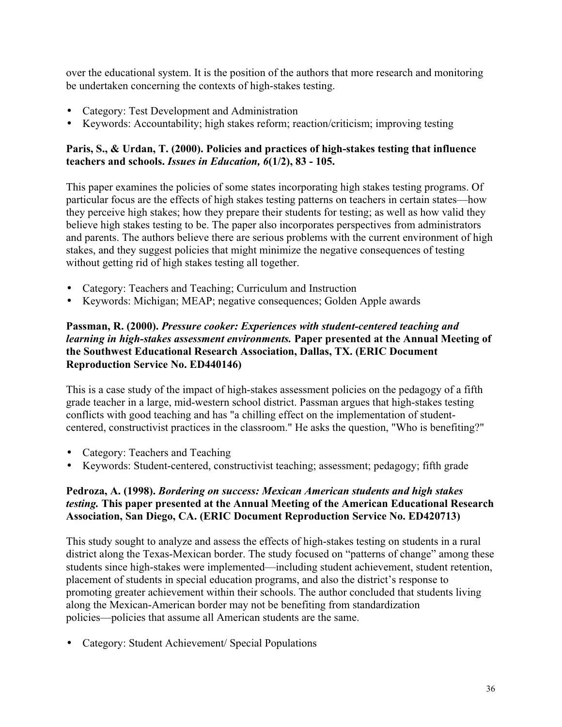over the educational system. It is the position of the authors that more research and monitoring be undertaken concerning the contexts of high-stakes testing.

- Category: Test Development and Administration
- Keywords: Accountability; high stakes reform; reaction/criticism; improving testing

## **Paris, S., & Urdan, T. (2000). Policies and practices of high-stakes testing that influence teachers and schools.** *Issues in Education, 6***(1/2), 83 - 105.**

This paper examines the policies of some states incorporating high stakes testing programs. Of particular focus are the effects of high stakes testing patterns on teachers in certain states—how they perceive high stakes; how they prepare their students for testing; as well as how valid they believe high stakes testing to be. The paper also incorporates perspectives from administrators and parents. The authors believe there are serious problems with the current environment of high stakes, and they suggest policies that might minimize the negative consequences of testing without getting rid of high stakes testing all together.

- Category: Teachers and Teaching; Curriculum and Instruction
- Keywords: Michigan; MEAP; negative consequences; Golden Apple awards

#### **Passman, R. (2000).** *Pressure cooker: Experiences with student-centered teaching and learning in high-stakes assessment environments.* **Paper presented at the Annual Meeting of the Southwest Educational Research Association, Dallas, TX. (ERIC Document Reproduction Service No. ED440146)**

This is a case study of the impact of high-stakes assessment policies on the pedagogy of a fifth grade teacher in a large, mid-western school district. Passman argues that high-stakes testing conflicts with good teaching and has "a chilling effect on the implementation of studentcentered, constructivist practices in the classroom." He asks the question, "Who is benefiting?"

- Category: Teachers and Teaching
- Keywords: Student-centered, constructivist teaching; assessment; pedagogy; fifth grade

## **Pedroza, A. (1998).** *Bordering on success: Mexican American students and high stakes testing.* **This paper presented at the Annual Meeting of the American Educational Research Association, San Diego, CA. (ERIC Document Reproduction Service No. ED420713)**

This study sought to analyze and assess the effects of high-stakes testing on students in a rural district along the Texas-Mexican border. The study focused on "patterns of change" among these students since high-stakes were implemented—including student achievement, student retention, placement of students in special education programs, and also the district's response to promoting greater achievement within their schools. The author concluded that students living along the Mexican-American border may not be benefiting from standardization policies—policies that assume all American students are the same.

• Category: Student Achievement/ Special Populations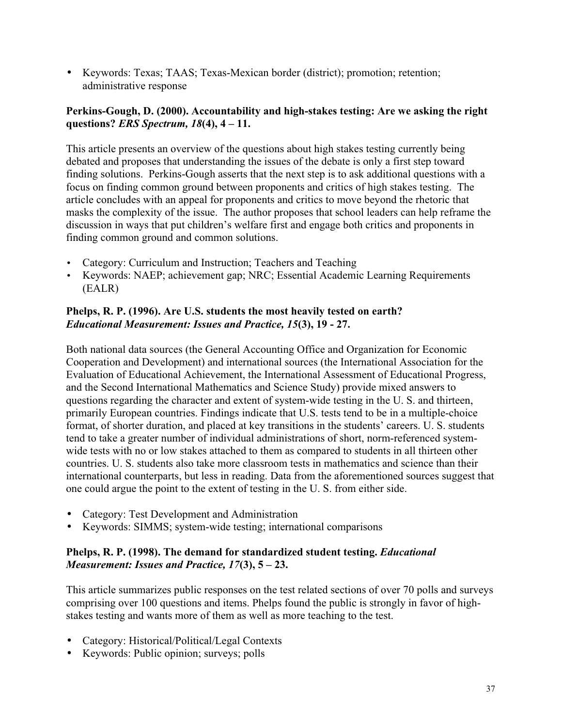• Keywords: Texas; TAAS; Texas-Mexican border (district); promotion; retention; administrative response

## **Perkins-Gough, D. (2000). Accountability and high-stakes testing: Are we asking the right questions?** *ERS Spectrum, 18***(4), 4 – 11.**

This article presents an overview of the questions about high stakes testing currently being debated and proposes that understanding the issues of the debate is only a first step toward finding solutions. Perkins-Gough asserts that the next step is to ask additional questions with a focus on finding common ground between proponents and critics of high stakes testing. The article concludes with an appeal for proponents and critics to move beyond the rhetoric that masks the complexity of the issue. The author proposes that school leaders can help reframe the discussion in ways that put children's welfare first and engage both critics and proponents in finding common ground and common solutions.

- Category: Curriculum and Instruction; Teachers and Teaching
- Keywords: NAEP; achievement gap; NRC; Essential Academic Learning Requirements (EALR)

## **Phelps, R. P. (1996). Are U.S. students the most heavily tested on earth?** *Educational Measurement: Issues and Practice, 15***(3), 19 - 27.**

Both national data sources (the General Accounting Office and Organization for Economic Cooperation and Development) and international sources (the International Association for the Evaluation of Educational Achievement, the International Assessment of Educational Progress, and the Second International Mathematics and Science Study) provide mixed answers to questions regarding the character and extent of system-wide testing in the U. S. and thirteen, primarily European countries. Findings indicate that U.S. tests tend to be in a multiple-choice format, of shorter duration, and placed at key transitions in the students' careers. U. S. students tend to take a greater number of individual administrations of short, norm-referenced systemwide tests with no or low stakes attached to them as compared to students in all thirteen other countries. U. S. students also take more classroom tests in mathematics and science than their international counterparts, but less in reading. Data from the aforementioned sources suggest that one could argue the point to the extent of testing in the U. S. from either side.

- Category: Test Development and Administration
- Keywords: SIMMS; system-wide testing; international comparisons

## **Phelps, R. P. (1998). The demand for standardized student testing.** *Educational Measurement: Issues and Practice, 17***(3), 5 – 23.**

This article summarizes public responses on the test related sections of over 70 polls and surveys comprising over 100 questions and items. Phelps found the public is strongly in favor of highstakes testing and wants more of them as well as more teaching to the test.

- Category: Historical/Political/Legal Contexts
- Keywords: Public opinion; surveys; polls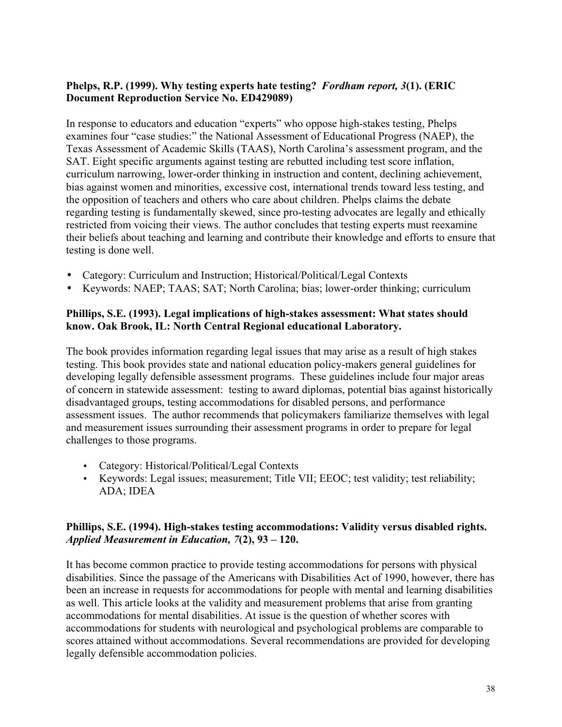## **Phelps, R.P. (1999). Why testing experts hate testing?** *Fordham report, 3***(1). (ERIC Document Reproduction Service No. ED429089)**

In response to educators and education "experts" who oppose high-stakes testing, Phelps examines four "case studies:" the National Assessment of Educational Progress (NAEP), the Texas Assessment of Academic Skills (TAAS), North Carolina's assessment program, and the SAT. Eight specific arguments against testing are rebutted including test score inflation, curriculum narrowing, lower-order thinking in instruction and content, declining achievement, bias against women and minorities, excessive cost, international trends toward less testing, and the opposition of teachers and others who care about children. Phelps claims the debate regarding testing is fundamentally skewed, since pro-testing advocates are legally and ethically restricted from voicing their views. The author concludes that testing experts must reexamine their beliefs about teaching and learning and contribute their knowledge and efforts to ensure that testing is done well.

- Category: Curriculum and Instruction; Historical/Political/Legal Contexts
- Keywords: NAEP; TAAS; SAT; North Carolina; bias; lower-order thinking; curriculum

## **Phillips, S.E. (1993). Legal implications of high-stakes assessment: What states should know. Oak Brook, IL: North Central Regional educational Laboratory.**

The book provides information regarding legal issues that may arise as a result of high stakes testing. This book provides state and national education policy-makers general guidelines for developing legally defensible assessment programs. These guidelines include four major areas of concern in statewide assessment: testing to award diplomas, potential bias against historically disadvantaged groups, testing accommodations for disabled persons, and performance assessment issues. The author recommends that policymakers familiarize themselves with legal and measurement issues surrounding their assessment programs in order to prepare for legal challenges to those programs.

- Category: Historical/Political/Legal Contexts
- Keywords: Legal issues; measurement; Title VII; EEOC; test validity; test reliability; ADA; IDEA

#### **Phillips, S.E. (1994). High-stakes testing accommodations: Validity versus disabled rights.** *Applied Measurement in Education, 7***(2), 93 – 120.**

It has become common practice to provide testing accommodations for persons with physical disabilities. Since the passage of the Americans with Disabilities Act of 1990, however, there has been an increase in requests for accommodations for people with mental and learning disabilities as well. This article looks at the validity and measurement problems that arise from granting accommodations for mental disabilities. At issue is the question of whether scores with accommodations for students with neurological and psychological problems are comparable to scores attained without accommodations. Several recommendations are provided for developing legally defensible accommodation policies.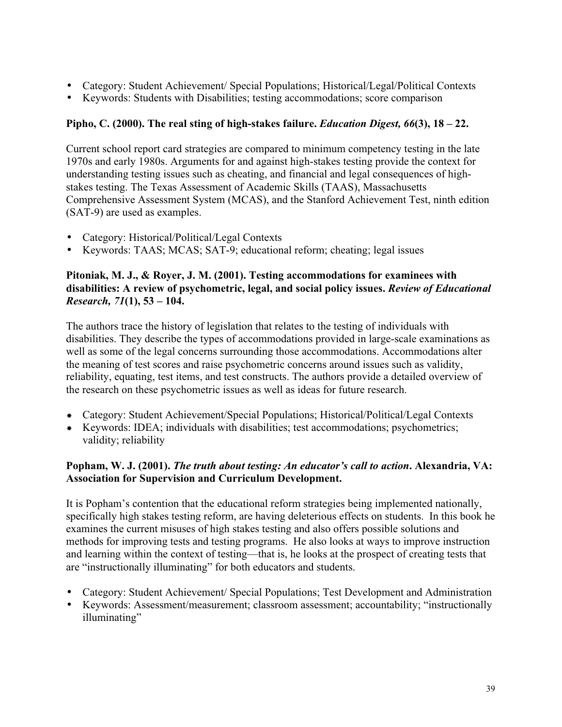- Category: Student Achievement/ Special Populations; Historical/Legal/Political Contexts
- Keywords: Students with Disabilities; testing accommodations; score comparison

## **Pipho, C. (2000). The real sting of high-stakes failure.** *Education Digest, 66***(3), 18 – 22.**

Current school report card strategies are compared to minimum competency testing in the late 1970s and early 1980s. Arguments for and against high-stakes testing provide the context for understanding testing issues such as cheating, and financial and legal consequences of highstakes testing. The Texas Assessment of Academic Skills (TAAS), Massachusetts Comprehensive Assessment System (MCAS), and the Stanford Achievement Test, ninth edition (SAT-9) are used as examples.

- Category: Historical/Political/Legal Contexts
- Keywords: TAAS; MCAS; SAT-9; educational reform; cheating; legal issues

## **Pitoniak, M. J., & Royer, J. M. (2001). Testing accommodations for examinees with disabilities: A review of psychometric, legal, and social policy issues.** *Review of Educational Research, 71***(1), 53 – 104.**

The authors trace the history of legislation that relates to the testing of individuals with disabilities. They describe the types of accommodations provided in large-scale examinations as well as some of the legal concerns surrounding those accommodations. Accommodations alter the meaning of test scores and raise psychometric concerns around issues such as validity, reliability, equating, test items, and test constructs. The authors provide a detailed overview of the research on these psychometric issues as well as ideas for future research.

- Category: Student Achievement/Special Populations; Historical/Political/Legal Contexts
- Keywords: IDEA; individuals with disabilities; test accommodations; psychometrics; validity; reliability

## **Popham, W. J. (2001).** *The truth about testing: An educator's call to action***. Alexandria, VA: Association for Supervision and Curriculum Development.**

It is Popham's contention that the educational reform strategies being implemented nationally, specifically high stakes testing reform, are having deleterious effects on students. In this book he examines the current misuses of high stakes testing and also offers possible solutions and methods for improving tests and testing programs. He also looks at ways to improve instruction and learning within the context of testing—that is, he looks at the prospect of creating tests that are "instructionally illuminating" for both educators and students.

- Category: Student Achievement/ Special Populations; Test Development and Administration
- Keywords: Assessment/measurement; classroom assessment; accountability; "instructionally illuminating"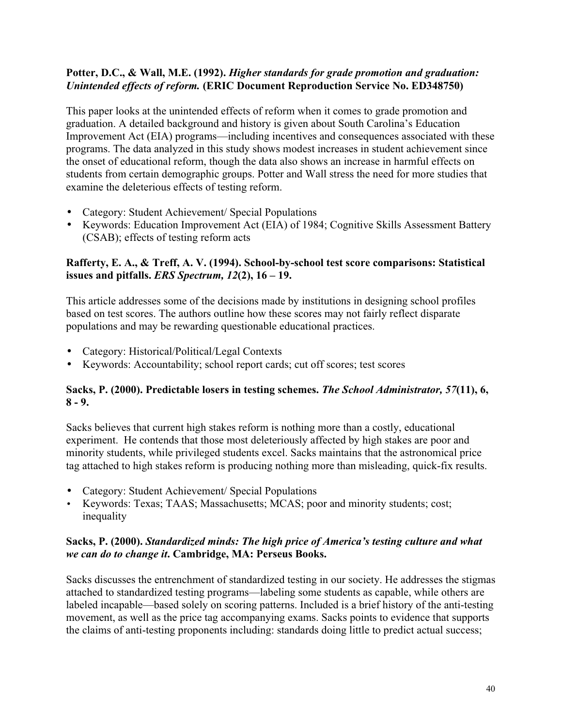## **Potter, D.C., & Wall, M.E. (1992).** *Higher standards for grade promotion and graduation: Unintended effects of reform.* **(ERIC Document Reproduction Service No. ED348750)**

This paper looks at the unintended effects of reform when it comes to grade promotion and graduation. A detailed background and history is given about South Carolina's Education Improvement Act (EIA) programs—including incentives and consequences associated with these programs. The data analyzed in this study shows modest increases in student achievement since the onset of educational reform, though the data also shows an increase in harmful effects on students from certain demographic groups. Potter and Wall stress the need for more studies that examine the deleterious effects of testing reform.

- Category: Student Achievement/ Special Populations
- Keywords: Education Improvement Act (EIA) of 1984; Cognitive Skills Assessment Battery (CSAB); effects of testing reform acts

## **Rafferty, E. A., & Treff, A. V. (1994). School-by-school test score comparisons: Statistical issues and pitfalls.** *ERS Spectrum, 12***(2), 16 – 19.**

This article addresses some of the decisions made by institutions in designing school profiles based on test scores. The authors outline how these scores may not fairly reflect disparate populations and may be rewarding questionable educational practices.

- Category: Historical/Political/Legal Contexts
- Keywords: Accountability; school report cards; cut off scores; test scores

## **Sacks, P. (2000). Predictable losers in testing schemes.** *The School Administrator, 57***(11), 6, 8 - 9.**

Sacks believes that current high stakes reform is nothing more than a costly, educational experiment. He contends that those most deleteriously affected by high stakes are poor and minority students, while privileged students excel. Sacks maintains that the astronomical price tag attached to high stakes reform is producing nothing more than misleading, quick-fix results.

- Category: Student Achievement/ Special Populations
- Keywords: Texas; TAAS; Massachusetts; MCAS; poor and minority students; cost; inequality

#### **Sacks, P. (2000).** *Standardized minds: The high price of America's testing culture and what we can do to change it***. Cambridge, MA: Perseus Books.**

Sacks discusses the entrenchment of standardized testing in our society. He addresses the stigmas attached to standardized testing programs—labeling some students as capable, while others are labeled incapable—based solely on scoring patterns. Included is a brief history of the anti-testing movement, as well as the price tag accompanying exams. Sacks points to evidence that supports the claims of anti-testing proponents including: standards doing little to predict actual success;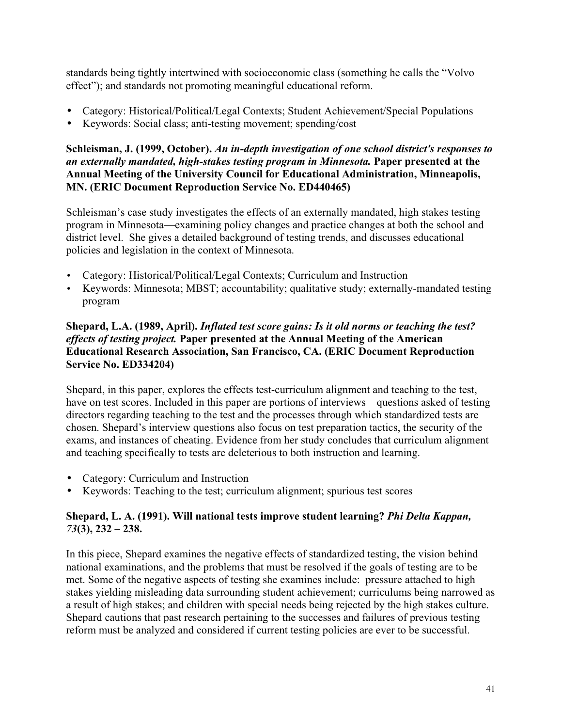standards being tightly intertwined with socioeconomic class (something he calls the "Volvo effect"); and standards not promoting meaningful educational reform.

- Category: Historical/Political/Legal Contexts; Student Achievement/Special Populations
- Keywords: Social class; anti-testing movement; spending/cost

## **Schleisman, J. (1999, October).** *An in-depth investigation of one school district's responses to an externally mandated, high-stakes testing program in Minnesota.* **Paper presented at the Annual Meeting of the University Council for Educational Administration, Minneapolis, MN. (ERIC Document Reproduction Service No. ED440465)**

Schleisman's case study investigates the effects of an externally mandated, high stakes testing program in Minnesota—examining policy changes and practice changes at both the school and district level. She gives a detailed background of testing trends, and discusses educational policies and legislation in the context of Minnesota.

- Category: Historical/Political/Legal Contexts; Curriculum and Instruction
- Keywords: Minnesota; MBST; accountability; qualitative study; externally-mandated testing program

## **Shepard, L.A. (1989, April).** *Inflated test score gains: Is it old norms or teaching the test? effects of testing project.* **Paper presented at the Annual Meeting of the American Educational Research Association, San Francisco, CA. (ERIC Document Reproduction Service No. ED334204)**

Shepard, in this paper, explores the effects test-curriculum alignment and teaching to the test, have on test scores. Included in this paper are portions of interviews—questions asked of testing directors regarding teaching to the test and the processes through which standardized tests are chosen. Shepard's interview questions also focus on test preparation tactics, the security of the exams, and instances of cheating. Evidence from her study concludes that curriculum alignment and teaching specifically to tests are deleterious to both instruction and learning.

- Category: Curriculum and Instruction
- Keywords: Teaching to the test; curriculum alignment; spurious test scores

## **Shepard, L. A. (1991). Will national tests improve student learning?** *Phi Delta Kappan, 73***(3), 232 – 238.**

In this piece, Shepard examines the negative effects of standardized testing, the vision behind national examinations, and the problems that must be resolved if the goals of testing are to be met. Some of the negative aspects of testing she examines include: pressure attached to high stakes yielding misleading data surrounding student achievement; curriculums being narrowed as a result of high stakes; and children with special needs being rejected by the high stakes culture. Shepard cautions that past research pertaining to the successes and failures of previous testing reform must be analyzed and considered if current testing policies are ever to be successful.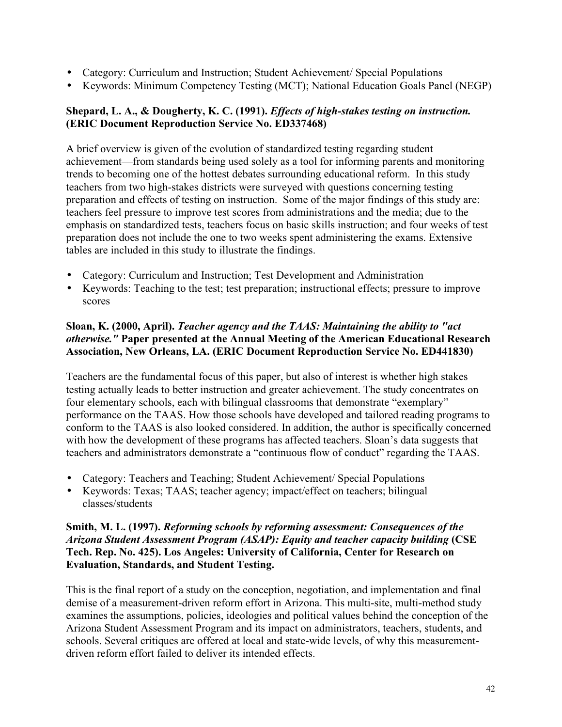- Category: Curriculum and Instruction; Student Achievement/ Special Populations
- Keywords: Minimum Competency Testing (MCT); National Education Goals Panel (NEGP)

## **Shepard, L. A., & Dougherty, K. C. (1991).** *Effects of high-stakes testing on instruction.* **(ERIC Document Reproduction Service No. ED337468)**

A brief overview is given of the evolution of standardized testing regarding student achievement—from standards being used solely as a tool for informing parents and monitoring trends to becoming one of the hottest debates surrounding educational reform. In this study teachers from two high-stakes districts were surveyed with questions concerning testing preparation and effects of testing on instruction. Some of the major findings of this study are: teachers feel pressure to improve test scores from administrations and the media; due to the emphasis on standardized tests, teachers focus on basic skills instruction; and four weeks of test preparation does not include the one to two weeks spent administering the exams. Extensive tables are included in this study to illustrate the findings.

- Category: Curriculum and Instruction; Test Development and Administration
- Keywords: Teaching to the test; test preparation; instructional effects; pressure to improve scores

## **Sloan, K. (2000, April).** *Teacher agency and the TAAS: Maintaining the ability to "act otherwise."* **Paper presented at the Annual Meeting of the American Educational Research Association, New Orleans, LA. (ERIC Document Reproduction Service No. ED441830)**

Teachers are the fundamental focus of this paper, but also of interest is whether high stakes testing actually leads to better instruction and greater achievement. The study concentrates on four elementary schools, each with bilingual classrooms that demonstrate "exemplary" performance on the TAAS. How those schools have developed and tailored reading programs to conform to the TAAS is also looked considered. In addition, the author is specifically concerned with how the development of these programs has affected teachers. Sloan's data suggests that teachers and administrators demonstrate a "continuous flow of conduct" regarding the TAAS.

- Category: Teachers and Teaching; Student Achievement/ Special Populations
- Keywords: Texas; TAAS; teacher agency; impact/effect on teachers; bilingual classes/students

## **Smith, M. L. (1997).** *Reforming schools by reforming assessment: Consequences of the Arizona Student Assessment Program (ASAP): Equity and teacher capacity building* **(CSE Tech. Rep. No. 425). Los Angeles: University of California, Center for Research on Evaluation, Standards, and Student Testing.**

This is the final report of a study on the conception, negotiation, and implementation and final demise of a measurement-driven reform effort in Arizona. This multi-site, multi-method study examines the assumptions, policies, ideologies and political values behind the conception of the Arizona Student Assessment Program and its impact on administrators, teachers, students, and schools. Several critiques are offered at local and state-wide levels, of why this measurementdriven reform effort failed to deliver its intended effects.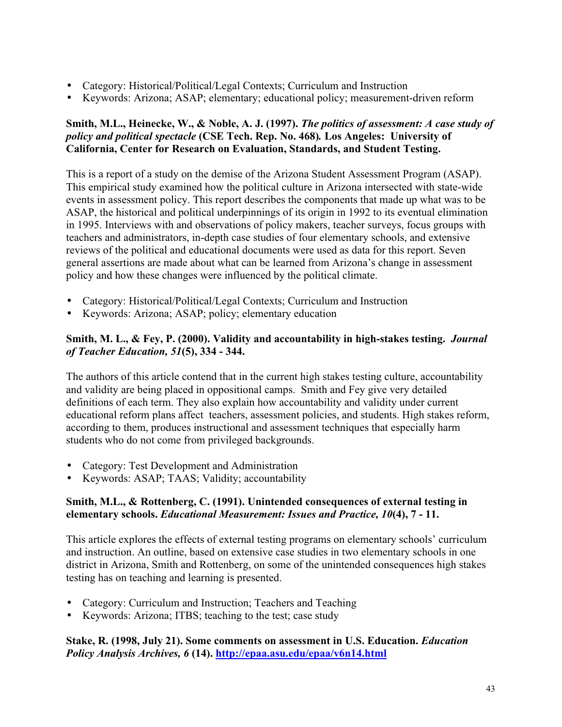- Category: Historical/Political/Legal Contexts; Curriculum and Instruction
- Keywords: Arizona; ASAP; elementary; educational policy; measurement-driven reform

## **Smith, M.L., Heinecke, W., & Noble, A. J. (1997).** *The politics of assessment: A case study of policy and political spectacle* **(CSE Tech. Rep. No. 468)***.* **Los Angeles: University of California, Center for Research on Evaluation, Standards, and Student Testing.**

This is a report of a study on the demise of the Arizona Student Assessment Program (ASAP). This empirical study examined how the political culture in Arizona intersected with state-wide events in assessment policy. This report describes the components that made up what was to be ASAP, the historical and political underpinnings of its origin in 1992 to its eventual elimination in 1995. Interviews with and observations of policy makers, teacher surveys, focus groups with teachers and administrators, in-depth case studies of four elementary schools, and extensive reviews of the political and educational documents were used as data for this report. Seven general assertions are made about what can be learned from Arizona's change in assessment policy and how these changes were influenced by the political climate.

- Category: Historical/Political/Legal Contexts; Curriculum and Instruction
- Keywords: Arizona; ASAP; policy; elementary education

## **Smith, M. L., & Fey, P. (2000). Validity and accountability in high-stakes testing.** *Journal of Teacher Education, 51***(5), 334 - 344.**

The authors of this article contend that in the current high stakes testing culture, accountability and validity are being placed in oppositional camps. Smith and Fey give very detailed definitions of each term. They also explain how accountability and validity under current educational reform plans affect teachers, assessment policies, and students. High stakes reform, according to them, produces instructional and assessment techniques that especially harm students who do not come from privileged backgrounds.

- Category: Test Development and Administration
- Keywords: ASAP; TAAS; Validity; accountability

## **Smith, M.L., & Rottenberg, C. (1991). Unintended consequences of external testing in elementary schools.** *Educational Measurement: Issues and Practice, 10***(4), 7 - 11.**

This article explores the effects of external testing programs on elementary schools' curriculum and instruction. An outline, based on extensive case studies in two elementary schools in one district in Arizona, Smith and Rottenberg, on some of the unintended consequences high stakes testing has on teaching and learning is presented.

- Category: Curriculum and Instruction; Teachers and Teaching
- Keywords: Arizona; ITBS; teaching to the test; case study

## **Stake, R. (1998, July 21). Some comments on assessment in U.S. Education.** *Education Policy Analysis Archives, 6* **(14). http://epaa.asu.edu/epaa/v6n14.html**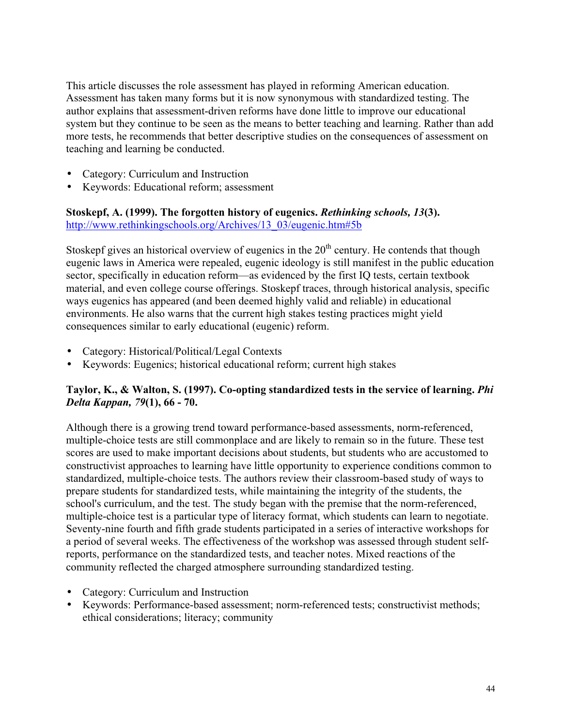This article discusses the role assessment has played in reforming American education. Assessment has taken many forms but it is now synonymous with standardized testing. The author explains that assessment-driven reforms have done little to improve our educational system but they continue to be seen as the means to better teaching and learning. Rather than add more tests, he recommends that better descriptive studies on the consequences of assessment on teaching and learning be conducted.

- Category: Curriculum and Instruction
- Keywords: Educational reform; assessment

**Stoskepf, A. (1999). The forgotten history of eugenics.** *Rethinking schools, 13***(3).** http://www.rethinkingschools.org/Archives/13\_03/eugenic.htm#5b

Stoskepf gives an historical overview of eugenics in the  $20<sup>th</sup>$  century. He contends that though eugenic laws in America were repealed, eugenic ideology is still manifest in the public education sector, specifically in education reform—as evidenced by the first IQ tests, certain textbook material, and even college course offerings. Stoskepf traces, through historical analysis, specific ways eugenics has appeared (and been deemed highly valid and reliable) in educational environments. He also warns that the current high stakes testing practices might yield consequences similar to early educational (eugenic) reform.

- Category: Historical/Political/Legal Contexts
- Keywords: Eugenics; historical educational reform; current high stakes

## **Taylor, K., & Walton, S. (1997). Co-opting standardized tests in the service of learning.** *Phi Delta Kappan, 79***(1), 66 - 70.**

Although there is a growing trend toward performance-based assessments, norm-referenced, multiple-choice tests are still commonplace and are likely to remain so in the future. These test scores are used to make important decisions about students, but students who are accustomed to constructivist approaches to learning have little opportunity to experience conditions common to standardized, multiple-choice tests. The authors review their classroom-based study of ways to prepare students for standardized tests, while maintaining the integrity of the students, the school's curriculum, and the test. The study began with the premise that the norm-referenced, multiple-choice test is a particular type of literacy format, which students can learn to negotiate. Seventy-nine fourth and fifth grade students participated in a series of interactive workshops for a period of several weeks. The effectiveness of the workshop was assessed through student selfreports, performance on the standardized tests, and teacher notes. Mixed reactions of the community reflected the charged atmosphere surrounding standardized testing.

- Category: Curriculum and Instruction
- Keywords: Performance-based assessment; norm-referenced tests; constructivist methods; ethical considerations; literacy; community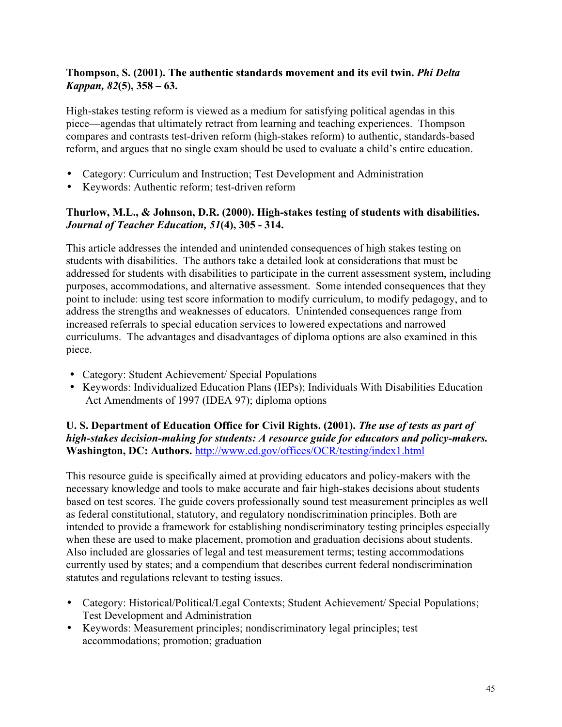## **Thompson, S. (2001). The authentic standards movement and its evil twin.** *Phi Delta Kappan, 82***(5), 358 – 63.**

High-stakes testing reform is viewed as a medium for satisfying political agendas in this piece—agendas that ultimately retract from learning and teaching experiences. Thompson compares and contrasts test-driven reform (high-stakes reform) to authentic, standards-based reform, and argues that no single exam should be used to evaluate a child's entire education.

- Category: Curriculum and Instruction; Test Development and Administration
- Keywords: Authentic reform; test-driven reform

## **Thurlow, M.L., & Johnson, D.R. (2000). High-stakes testing of students with disabilities.** *Journal of Teacher Education, 51***(4), 305 - 314.**

This article addresses the intended and unintended consequences of high stakes testing on students with disabilities. The authors take a detailed look at considerations that must be addressed for students with disabilities to participate in the current assessment system, including purposes, accommodations, and alternative assessment. Some intended consequences that they point to include: using test score information to modify curriculum, to modify pedagogy, and to address the strengths and weaknesses of educators. Unintended consequences range from increased referrals to special education services to lowered expectations and narrowed curriculums. The advantages and disadvantages of diploma options are also examined in this piece.

- Category: Student Achievement/ Special Populations
- Keywords: Individualized Education Plans (IEPs); Individuals With Disabilities Education Act Amendments of 1997 (IDEA 97); diploma options

## **U. S. Department of Education Office for Civil Rights. (2001).** *The use of tests as part of high-stakes decision-making for students: A resource guide for educators and policy-makers.* **Washington, DC: Authors.** http://www.ed.gov/offices/OCR/testing/index1.html

This resource guide is specifically aimed at providing educators and policy-makers with the necessary knowledge and tools to make accurate and fair high-stakes decisions about students based on test scores. The guide covers professionally sound test measurement principles as well as federal constitutional, statutory, and regulatory nondiscrimination principles. Both are intended to provide a framework for establishing nondiscriminatory testing principles especially when these are used to make placement, promotion and graduation decisions about students. Also included are glossaries of legal and test measurement terms; testing accommodations currently used by states; and a compendium that describes current federal nondiscrimination statutes and regulations relevant to testing issues.

- Category: Historical/Political/Legal Contexts; Student Achievement/ Special Populations; Test Development and Administration
- Keywords: Measurement principles; nondiscriminatory legal principles; test accommodations; promotion; graduation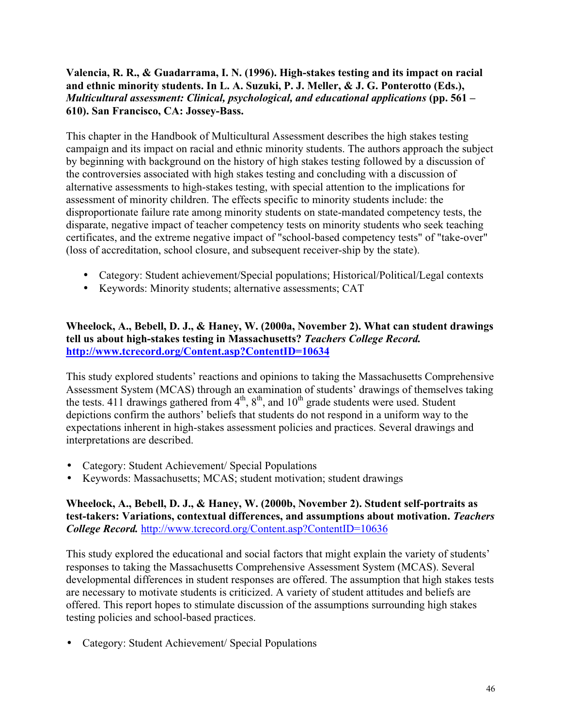## **Valencia, R. R., & Guadarrama, I. N. (1996). High-stakes testing and its impact on racial and ethnic minority students. In L. A. Suzuki, P. J. Meller, & J. G. Ponterotto (Eds.),** *Multicultural assessment: Clinical, psychological, and educational applications* **(pp. 561 – 610). San Francisco, CA: Jossey-Bass.**

This chapter in the Handbook of Multicultural Assessment describes the high stakes testing campaign and its impact on racial and ethnic minority students. The authors approach the subject by beginning with background on the history of high stakes testing followed by a discussion of the controversies associated with high stakes testing and concluding with a discussion of alternative assessments to high-stakes testing, with special attention to the implications for assessment of minority children. The effects specific to minority students include: the disproportionate failure rate among minority students on state-mandated competency tests, the disparate, negative impact of teacher competency tests on minority students who seek teaching certificates, and the extreme negative impact of "school-based competency tests" of "take-over" (loss of accreditation, school closure, and subsequent receiver-ship by the state).

- Category: Student achievement/Special populations; Historical/Political/Legal contexts
- Keywords: Minority students; alternative assessments; CAT

## **Wheelock, A., Bebell, D. J., & Haney, W. (2000a, November 2). What can student drawings tell us about high-stakes testing in Massachusetts?** *Teachers College Record.* **http://www.tcrecord.org/Content.asp?ContentID=10634**

This study explored students' reactions and opinions to taking the Massachusetts Comprehensive Assessment System (MCAS) through an examination of students' drawings of themselves taking the tests. 411 drawings gathered from  $4<sup>th</sup>$ ,  $8<sup>th</sup>$ , and  $10<sup>th</sup>$  grade students were used. Student depictions confirm the authors' beliefs that students do not respond in a uniform way to the expectations inherent in high-stakes assessment policies and practices. Several drawings and interpretations are described.

- Category: Student Achievement/ Special Populations
- Keywords: Massachusetts; MCAS; student motivation; student drawings

#### **Wheelock, A., Bebell, D. J., & Haney, W. (2000b, November 2). Student self-portraits as test-takers: Variations, contextual differences, and assumptions about motivation.** *Teachers College Record.* http://www.tcrecord.org/Content.asp?ContentID=10636

This study explored the educational and social factors that might explain the variety of students' responses to taking the Massachusetts Comprehensive Assessment System (MCAS). Several developmental differences in student responses are offered. The assumption that high stakes tests are necessary to motivate students is criticized. A variety of student attitudes and beliefs are offered. This report hopes to stimulate discussion of the assumptions surrounding high stakes testing policies and school-based practices.

• Category: Student Achievement/ Special Populations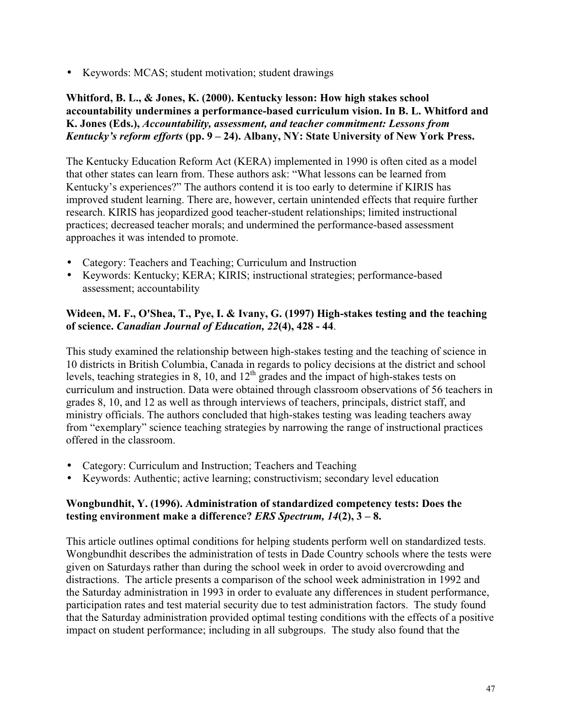• Keywords: MCAS; student motivation; student drawings

## **Whitford, B. L., & Jones, K. (2000). Kentucky lesson: How high stakes school accountability undermines a performance-based curriculum vision. In B. L. Whitford and K. Jones (Eds.),** *Accountability, assessment, and teacher commitment: Lessons from Kentucky's reform efforts* **(pp. 9 – 24). Albany, NY: State University of New York Press.**

The Kentucky Education Reform Act (KERA) implemented in 1990 is often cited as a model that other states can learn from. These authors ask: "What lessons can be learned from Kentucky's experiences?" The authors contend it is too early to determine if KIRIS has improved student learning. There are, however, certain unintended effects that require further research. KIRIS has jeopardized good teacher-student relationships; limited instructional practices; decreased teacher morals; and undermined the performance-based assessment approaches it was intended to promote.

- Category: Teachers and Teaching; Curriculum and Instruction
- Keywords: Kentucky; KERA; KIRIS; instructional strategies; performance-based assessment; accountability

## **Wideen, M. F., O'Shea, T., Pye, I. & Ivany, G. (1997) High-stakes testing and the teaching of science.** *Canadian Journal of Education, 22***(4), 428 - 44**.

This study examined the relationship between high-stakes testing and the teaching of science in 10 districts in British Columbia, Canada in regards to policy decisions at the district and school levels, teaching strategies in 8, 10, and 12<sup>th</sup> grades and the impact of high-stakes tests on curriculum and instruction. Data were obtained through classroom observations of 56 teachers in grades 8, 10, and 12 as well as through interviews of teachers, principals, district staff, and ministry officials. The authors concluded that high-stakes testing was leading teachers away from "exemplary" science teaching strategies by narrowing the range of instructional practices offered in the classroom.

- Category: Curriculum and Instruction; Teachers and Teaching
- Keywords: Authentic; active learning; constructivism; secondary level education

#### **Wongbundhit, Y. (1996). Administration of standardized competency tests: Does the testing environment make a difference?** *ERS Spectrum, 14***(2), 3 – 8.**

This article outlines optimal conditions for helping students perform well on standardized tests. Wongbundhit describes the administration of tests in Dade Country schools where the tests were given on Saturdays rather than during the school week in order to avoid overcrowding and distractions. The article presents a comparison of the school week administration in 1992 and the Saturday administration in 1993 in order to evaluate any differences in student performance, participation rates and test material security due to test administration factors. The study found that the Saturday administration provided optimal testing conditions with the effects of a positive impact on student performance; including in all subgroups. The study also found that the